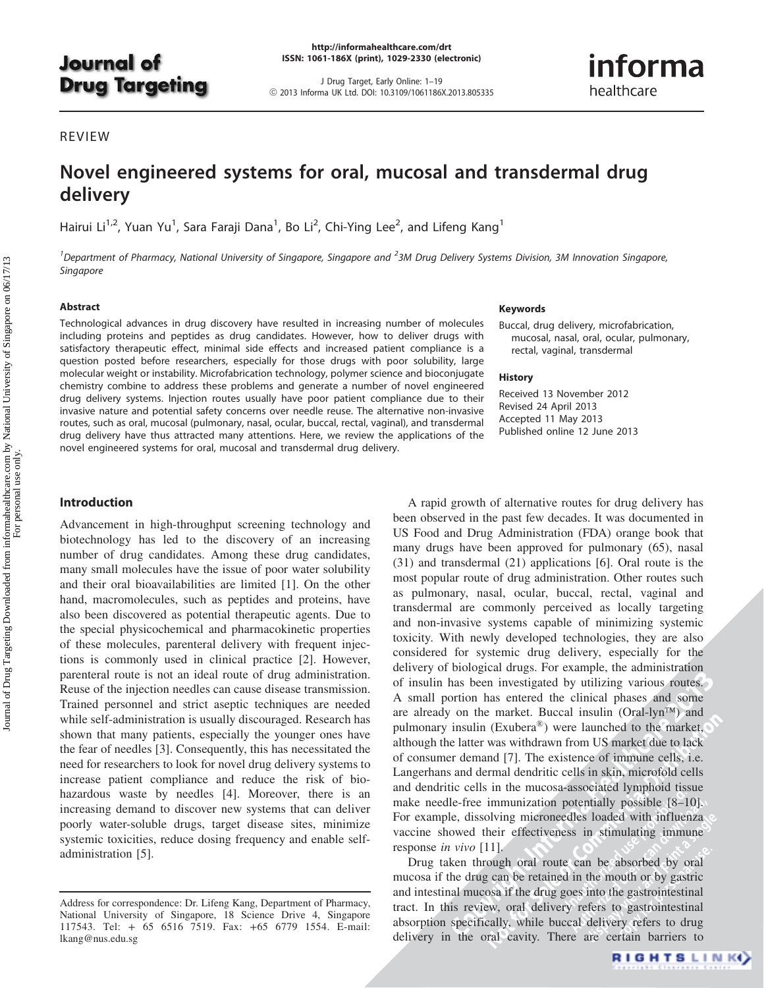# **Journal of Drug Targeting**

<http://informahealthcare.com/drt> ISSN: 1061-186X (print), 1029-2330 (electronic)

J Drug Target, Early Online: 1–19 ! 2013 Informa UK Ltd. DOI: 10.3109/1061186X.2013.805335 informa healthcare

# REVIEW

# Novel engineered systems for oral, mucosal and transdermal drug delivery

Hairui Li $^{1,2}$ , Yuan Yu $^1$ , Sara Faraji Dana $^1$ , Bo Li $^2$ , Chi-Ying Lee $^2$ , and Lifeng Kang $^1$ 

<sup>1</sup> Department of Pharmacy, National University of Singapore, Singapore and <sup>2</sup>3M Drug Delivery Systems Division, 3M Innovation Singapore, Singapore

#### Abstract

Technological advances in drug discovery have resulted in increasing number of molecules including proteins and peptides as drug candidates. However, how to deliver drugs with satisfactory therapeutic effect, minimal side effects and increased patient compliance is a question posted before researchers, especially for those drugs with poor solubility, large molecular weight or instability. Microfabrication technology, polymer science and bioconjugate chemistry combine to address these problems and generate a number of novel engineered drug delivery systems. Injection routes usually have poor patient compliance due to their invasive nature and potential safety concerns over needle reuse. The alternative non-invasive routes, such as oral, mucosal (pulmonary, nasal, ocular, buccal, rectal, vaginal), and transdermal drug delivery have thus attracted many attentions. Here, we review the applications of the novel engineered systems for oral, mucosal and transdermal drug delivery.

#### Keywords

Buccal, drug delivery, microfabrication, mucosal, nasal, oral, ocular, pulmonary, rectal, vaginal, transdermal

#### **History**

Received 13 November 2012 Revised 24 April 2013 Accepted 11 May 2013 Published online 12 June 2013

# Introduction

Advancement in high-throughput screening technology and biotechnology has led to the discovery of an increasing number of drug candidates. Among these drug candidates, many small molecules have the issue of poor water solubility and their oral bioavailabilities are limited [1]. On the other hand, macromolecules, such as peptides and proteins, have also been discovered as potential therapeutic agents. Due to the special physicochemical and pharmacokinetic properties of these molecules, parenteral delivery with frequent injections is commonly used in clinical practice [2]. However, parenteral route is not an ideal route of drug administration. Reuse of the injection needles can cause disease transmission. Trained personnel and strict aseptic techniques are needed while self-administration is usually discouraged. Research has shown that many patients, especially the younger ones have the fear of needles [3]. Consequently, this has necessitated the need for researchers to look for novel drug delivery systems to increase patient compliance and reduce the risk of biohazardous waste by needles [4]. Moreover, there is an increasing demand to discover new systems that can deliver poorly water-soluble drugs, target disease sites, minimize systemic toxicities, reduce dosing frequency and enable selfadministration [5].

of insulin has been investigated by utilizing various routes.)<br>A small portion has entered the clinical phases and some are already on the market. Buccal insulin  $(Oral-lyn^{TM})$  and A rapid growth of alternative routes for drug delivery has been observed in the past few decades. It was documented in US Food and Drug Administration (FDA) orange book that many drugs have been approved for pulmonary (65), nasal (31) and transdermal (21) applications [6]. Oral route is the most popular route of drug administration. Other routes such as pulmonary, nasal, ocular, buccal, rectal, vaginal and transdermal are commonly perceived as locally targeting and non-invasive systems capable of minimizing systemic toxicity. With newly developed technologies, they are also considered for systemic drug delivery, especially for the delivery of biological drugs. For example, the administration A small portion has entered the clinical phases and some are already on the market. Buccal insulin (Oral-lyn<sup>TM</sup>) and pulmonary insulin (Exubera®) were launched to the market, although the latter was withdrawn from US market due to lack of consumer demand [7]. The existence of immune cells, i.e. Langerhans and dermal dendritic cells in skin, microfold cells and dendritic cells in the mucosa-associated lymphoid tissue make needle-free immunization potentially possible [8–10]. For example, dissolving microneedles loaded with influenza vaccine showed their effectiveness in stimulating immune response in vivo [11].

Drug taken through oral route can be absorbed by oral mucosa if the drug can be retained in the mouth or by gastric and intestinal mucosa if the drug goes into the gastrointestinal tract. In this review, oral delivery refers to gastrointestinal absorption specifically, while buccal delivery refers to drug delivery in the oral cavity. There are certain barriers to

Address for correspondence: Dr. Lifeng Kang, Department of Pharmacy, National University of Singapore, 18 Science Drive 4, Singapore 117543. Tel: + 65 6516 7519. Fax: +65 6779 1554. E-mail: [lkang@nus.edu.sg](mailto:lkang@nus.edu.sg)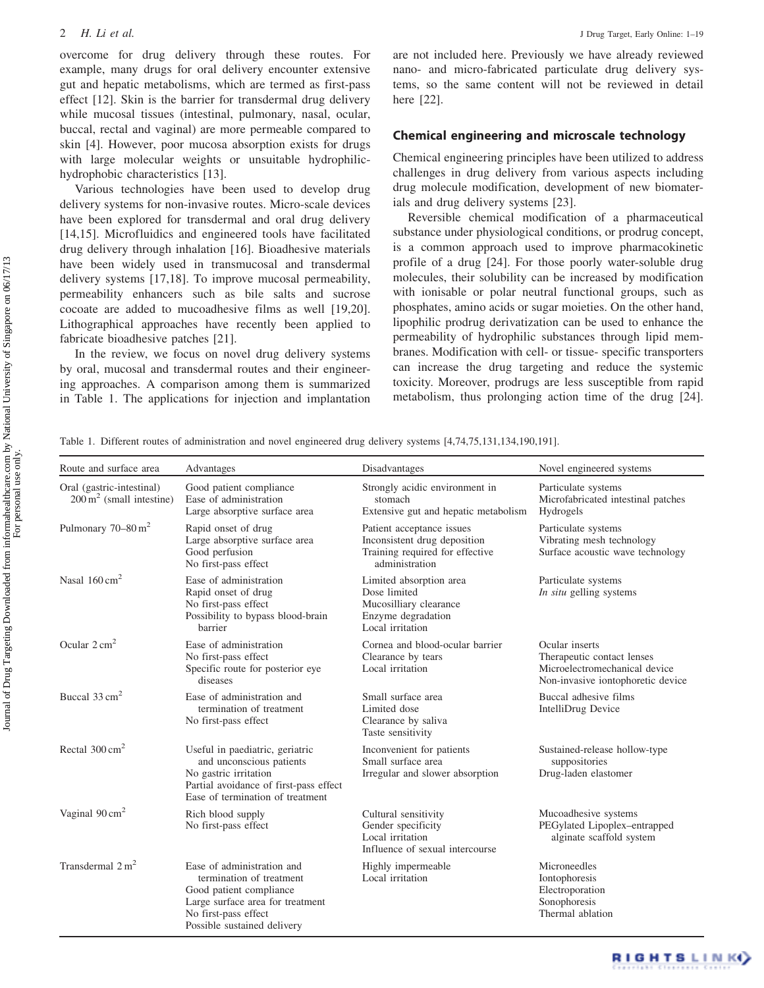overcome for drug delivery through these routes. For example, many drugs for oral delivery encounter extensive gut and hepatic metabolisms, which are termed as first-pass effect [12]. Skin is the barrier for transdermal drug delivery while mucosal tissues (intestinal, pulmonary, nasal, ocular, buccal, rectal and vaginal) are more permeable compared to skin [4]. However, poor mucosa absorption exists for drugs with large molecular weights or unsuitable hydrophilichydrophobic characteristics [13].

Various technologies have been used to develop drug delivery systems for non-invasive routes. Micro-scale devices have been explored for transdermal and oral drug delivery [14,15]. Microfluidics and engineered tools have facilitated drug delivery through inhalation [16]. Bioadhesive materials have been widely used in transmucosal and transdermal delivery systems [17,18]. To improve mucosal permeability, permeability enhancers such as bile salts and sucrose cocoate are added to mucoadhesive films as well [19,20]. Lithographical approaches have recently been applied to fabricate bioadhesive patches [21].

In the review, we focus on novel drug delivery systems by oral, mucosal and transdermal routes and their engineering approaches. A comparison among them is summarized in Table 1. The applications for injection and implantation

are not included here. Previously we have already reviewed nano- and micro-fabricated particulate drug delivery systems, so the same content will not be reviewed in detail here [22].

## Chemical engineering and microscale technology

Chemical engineering principles have been utilized to address challenges in drug delivery from various aspects including drug molecule modification, development of new biomaterials and drug delivery systems [23].

Reversible chemical modification of a pharmaceutical substance under physiological conditions, or prodrug concept, is a common approach used to improve pharmacokinetic profile of a drug [24]. For those poorly water-soluble drug molecules, their solubility can be increased by modification with ionisable or polar neutral functional groups, such as phosphates, amino acids or sugar moieties. On the other hand, lipophilic prodrug derivatization can be used to enhance the permeability of hydrophilic substances through lipid membranes. Modification with cell- or tissue- specific transporters can increase the drug targeting and reduce the systemic toxicity. Moreover, prodrugs are less susceptible from rapid metabolism, thus prolonging action time of the drug [24].

Table 1. Different routes of administration and novel engineered drug delivery systems [4,74,75,131,134,190,191].

| Route and surface area                                              | Advantages                                                                                                                                                                   | Disadvantages                                                                                                  | Novel engineered systems                                                                                           |
|---------------------------------------------------------------------|------------------------------------------------------------------------------------------------------------------------------------------------------------------------------|----------------------------------------------------------------------------------------------------------------|--------------------------------------------------------------------------------------------------------------------|
| Oral (gastric-intestinal)<br>$200 \,\mathrm{m}^2$ (small intestine) | Good patient compliance<br>Ease of administration<br>Large absorptive surface area                                                                                           | Strongly acidic environment in<br>stomach<br>Extensive gut and hepatic metabolism                              | Particulate systems<br>Microfabricated intestinal patches<br>Hydrogels                                             |
| Pulmonary $70-80 \text{ m}^2$                                       | Rapid onset of drug<br>Large absorptive surface area<br>Good perfusion<br>No first-pass effect                                                                               | Patient acceptance issues<br>Inconsistent drug deposition<br>Training required for effective<br>administration | Particulate systems<br>Vibrating mesh technology<br>Surface acoustic wave technology                               |
| Nasal $160 \text{ cm}^2$                                            | Ease of administration<br>Rapid onset of drug<br>No first-pass effect<br>Possibility to bypass blood-brain<br>barrier                                                        | Limited absorption area<br>Dose limited<br>Mucosilliary clearance<br>Enzyme degradation<br>Local irritation    | Particulate systems<br><i>In situ</i> gelling systems                                                              |
| Ocular $2 \text{ cm}^2$                                             | Ease of administration<br>No first-pass effect<br>Specific route for posterior eye<br>diseases                                                                               | Cornea and blood-ocular barrier<br>Clearance by tears<br>Local irritation                                      | Ocular inserts<br>Therapeutic contact lenses<br>Microelectromechanical device<br>Non-invasive iontophoretic device |
| Buccal $33 \text{ cm}^2$                                            | Ease of administration and<br>termination of treatment<br>No first-pass effect                                                                                               | Small surface area<br>Limited dose<br>Clearance by saliva<br>Taste sensitivity                                 | Buccal adhesive films<br>IntelliDrug Device                                                                        |
| Rectal $300 \text{ cm}^2$                                           | Useful in paediatric, geriatric<br>and unconscious patients<br>No gastric irritation<br>Partial avoidance of first-pass effect<br>Ease of termination of treatment           | Inconvenient for patients<br>Small surface area<br>Irregular and slower absorption                             | Sustained-release hollow-type<br>suppositories<br>Drug-laden elastomer                                             |
| Vaginal $90 \text{ cm}^2$                                           | Rich blood supply<br>No first-pass effect                                                                                                                                    | Cultural sensitivity<br>Gender specificity<br>Local irritation<br>Influence of sexual intercourse              | Mucoadhesive systems<br>PEGylated Lipoplex-entrapped<br>alginate scaffold system                                   |
| Transdermal $2 m2$                                                  | Ease of administration and<br>termination of treatment<br>Good patient compliance<br>Large surface area for treatment<br>No first-pass effect<br>Possible sustained delivery | Highly impermeable<br>Local irritation                                                                         | Microneedles<br>Iontophoresis<br>Electroporation<br>Sonophoresis<br>Thermal ablation                               |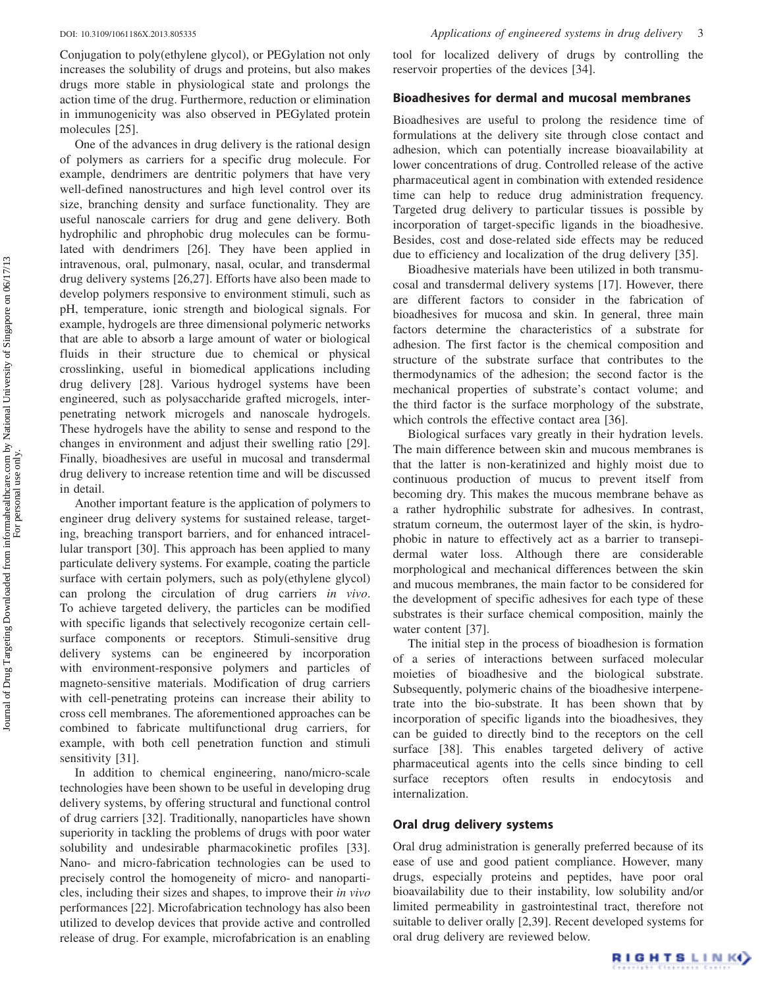Conjugation to poly(ethylene glycol), or PEGylation not only increases the solubility of drugs and proteins, but also makes drugs more stable in physiological state and prolongs the action time of the drug. Furthermore, reduction or elimination in immunogenicity was also observed in PEGylated protein molecules [25].

One of the advances in drug delivery is the rational design of polymers as carriers for a specific drug molecule. For example, dendrimers are dentritic polymers that have very well-defined nanostructures and high level control over its size, branching density and surface functionality. They are useful nanoscale carriers for drug and gene delivery. Both hydrophilic and phrophobic drug molecules can be formulated with dendrimers [26]. They have been applied in intravenous, oral, pulmonary, nasal, ocular, and transdermal drug delivery systems [26,27]. Efforts have also been made to develop polymers responsive to environment stimuli, such as pH, temperature, ionic strength and biological signals. For example, hydrogels are three dimensional polymeric networks that are able to absorb a large amount of water or biological fluids in their structure due to chemical or physical crosslinking, useful in biomedical applications including drug delivery [28]. Various hydrogel systems have been engineered, such as polysaccharide grafted microgels, interpenetrating network microgels and nanoscale hydrogels. These hydrogels have the ability to sense and respond to the changes in environment and adjust their swelling ratio [29]. Finally, bioadhesives are useful in mucosal and transdermal drug delivery to increase retention time and will be discussed in detail.

Another important feature is the application of polymers to engineer drug delivery systems for sustained release, targeting, breaching transport barriers, and for enhanced intracellular transport [30]. This approach has been applied to many particulate delivery systems. For example, coating the particle surface with certain polymers, such as poly(ethylene glycol) can prolong the circulation of drug carriers in vivo. To achieve targeted delivery, the particles can be modified with specific ligands that selectively recogonize certain cellsurface components or receptors. Stimuli-sensitive drug delivery systems can be engineered by incorporation with environment-responsive polymers and particles of magneto-sensitive materials. Modification of drug carriers with cell-penetrating proteins can increase their ability to cross cell membranes. The aforementioned approaches can be combined to fabricate multifunctional drug carriers, for example, with both cell penetration function and stimuli sensitivity [31].

In addition to chemical engineering, nano/micro-scale technologies have been shown to be useful in developing drug delivery systems, by offering structural and functional control of drug carriers [32]. Traditionally, nanoparticles have shown superiority in tackling the problems of drugs with poor water solubility and undesirable pharmacokinetic profiles [33]. Nano- and micro-fabrication technologies can be used to precisely control the homogeneity of micro- and nanoparticles, including their sizes and shapes, to improve their in vivo performances [22]. Microfabrication technology has also been utilized to develop devices that provide active and controlled release of drug. For example, microfabrication is an enabling

tool for localized delivery of drugs by controlling the reservoir properties of the devices [34].

## Bioadhesives for dermal and mucosal membranes

Bioadhesives are useful to prolong the residence time of formulations at the delivery site through close contact and adhesion, which can potentially increase bioavailability at lower concentrations of drug. Controlled release of the active pharmaceutical agent in combination with extended residence time can help to reduce drug administration frequency. Targeted drug delivery to particular tissues is possible by incorporation of target-specific ligands in the bioadhesive. Besides, cost and dose-related side effects may be reduced due to efficiency and localization of the drug delivery [35].

Bioadhesive materials have been utilized in both transmucosal and transdermal delivery systems [17]. However, there are different factors to consider in the fabrication of bioadhesives for mucosa and skin. In general, three main factors determine the characteristics of a substrate for adhesion. The first factor is the chemical composition and structure of the substrate surface that contributes to the thermodynamics of the adhesion; the second factor is the mechanical properties of substrate's contact volume; and the third factor is the surface morphology of the substrate, which controls the effective contact area [36].

Biological surfaces vary greatly in their hydration levels. The main difference between skin and mucous membranes is that the latter is non-keratinized and highly moist due to continuous production of mucus to prevent itself from becoming dry. This makes the mucous membrane behave as a rather hydrophilic substrate for adhesives. In contrast, stratum corneum, the outermost layer of the skin, is hydrophobic in nature to effectively act as a barrier to transepidermal water loss. Although there are considerable morphological and mechanical differences between the skin and mucous membranes, the main factor to be considered for the development of specific adhesives for each type of these substrates is their surface chemical composition, mainly the water content [37].

The initial step in the process of bioadhesion is formation of a series of interactions between surfaced molecular moieties of bioadhesive and the biological substrate. Subsequently, polymeric chains of the bioadhesive interpenetrate into the bio-substrate. It has been shown that by incorporation of specific ligands into the bioadhesives, they can be guided to directly bind to the receptors on the cell surface [38]. This enables targeted delivery of active pharmaceutical agents into the cells since binding to cell surface receptors often results in endocytosis internalization.

### Oral drug delivery systems

Oral drug administration is generally preferred because of its ease of use and good patient compliance. However, many drugs, especially proteins and peptides, have poor oral bioavailability due to their instability, low solubility and/or limited permeability in gastrointestinal tract, therefore not suitable to deliver orally [2,39]. Recent developed systems for oral drug delivery are reviewed below.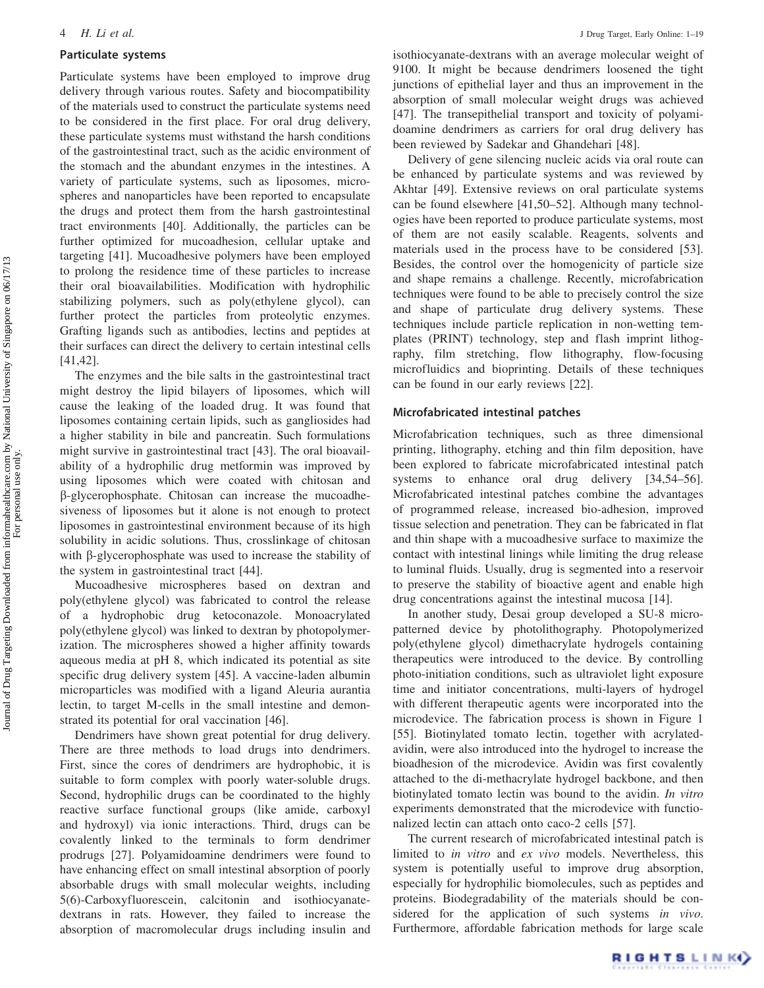#### Particulate systems

Particulate systems have been employed to improve drug delivery through various routes. Safety and biocompatibility of the materials used to construct the particulate systems need to be considered in the first place. For oral drug delivery, these particulate systems must withstand the harsh conditions of the gastrointestinal tract, such as the acidic environment of the stomach and the abundant enzymes in the intestines. A variety of particulate systems, such as liposomes, microspheres and nanoparticles have been reported to encapsulate the drugs and protect them from the harsh gastrointestinal tract environments [40]. Additionally, the particles can be further optimized for mucoadhesion, cellular uptake and targeting [41]. Mucoadhesive polymers have been employed to prolong the residence time of these particles to increase their oral bioavailabilities. Modification with hydrophilic stabilizing polymers, such as poly(ethylene glycol), can further protect the particles from proteolytic enzymes. Grafting ligands such as antibodies, lectins and peptides at their surfaces can direct the delivery to certain intestinal cells [41,42].

The enzymes and the bile salts in the gastrointestinal tract might destroy the lipid bilayers of liposomes, which will cause the leaking of the loaded drug. It was found that liposomes containing certain lipids, such as gangliosides had a higher stability in bile and pancreatin. Such formulations might survive in gastrointestinal tract [43]. The oral bioavailability of a hydrophilic drug metformin was improved by using liposomes which were coated with chitosan and b-glycerophosphate. Chitosan can increase the mucoadhesiveness of liposomes but it alone is not enough to protect liposomes in gastrointestinal environment because of its high solubility in acidic solutions. Thus, crosslinkage of chitosan with  $\beta$ -glycerophosphate was used to increase the stability of the system in gastrointestinal tract [44].

Mucoadhesive microspheres based on dextran and poly(ethylene glycol) was fabricated to control the release of a hydrophobic drug ketoconazole. Monoacrylated poly(ethylene glycol) was linked to dextran by photopolymerization. The microspheres showed a higher affinity towards aqueous media at pH 8, which indicated its potential as site specific drug delivery system [45]. A vaccine-laden albumin microparticles was modified with a ligand Aleuria aurantia lectin, to target M-cells in the small intestine and demonstrated its potential for oral vaccination [46].

Dendrimers have shown great potential for drug delivery. There are three methods to load drugs into dendrimers. First, since the cores of dendrimers are hydrophobic, it is suitable to form complex with poorly water-soluble drugs. Second, hydrophilic drugs can be coordinated to the highly reactive surface functional groups (like amide, carboxyl and hydroxyl) via ionic interactions. Third, drugs can be covalently linked to the terminals to form dendrimer prodrugs [27]. Polyamidoamine dendrimers were found to have enhancing effect on small intestinal absorption of poorly absorbable drugs with small molecular weights, including 5(6)-Carboxyfluorescein, calcitonin and isothiocyanatedextrans in rats. However, they failed to increase the absorption of macromolecular drugs including insulin and isothiocyanate-dextrans with an average molecular weight of 9100. It might be because dendrimers loosened the tight junctions of epithelial layer and thus an improvement in the absorption of small molecular weight drugs was achieved [47]. The transepithelial transport and toxicity of polyamidoamine dendrimers as carriers for oral drug delivery has been reviewed by Sadekar and Ghandehari [48].

Delivery of gene silencing nucleic acids via oral route can be enhanced by particulate systems and was reviewed by Akhtar [49]. Extensive reviews on oral particulate systems can be found elsewhere [41,50–52]. Although many technologies have been reported to produce particulate systems, most of them are not easily scalable. Reagents, solvents and materials used in the process have to be considered [53]. Besides, the control over the homogenicity of particle size and shape remains a challenge. Recently, microfabrication techniques were found to be able to precisely control the size and shape of particulate drug delivery systems. These techniques include particle replication in non-wetting templates (PRINT) technology, step and flash imprint lithography, film stretching, flow lithography, flow-focusing microfluidics and bioprinting. Details of these techniques can be found in our early reviews [22].

### Microfabricated intestinal patches

Microfabrication techniques, such as three dimensional printing, lithography, etching and thin film deposition, have been explored to fabricate microfabricated intestinal patch systems to enhance oral drug delivery [34,54–56]. Microfabricated intestinal patches combine the advantages of programmed release, increased bio-adhesion, improved tissue selection and penetration. They can be fabricated in flat and thin shape with a mucoadhesive surface to maximize the contact with intestinal linings while limiting the drug release to luminal fluids. Usually, drug is segmented into a reservoir to preserve the stability of bioactive agent and enable high drug concentrations against the intestinal mucosa [14].

In another study, Desai group developed a SU-8 micropatterned device by photolithography. Photopolymerized poly(ethylene glycol) dimethacrylate hydrogels containing therapeutics were introduced to the device. By controlling photo-initiation conditions, such as ultraviolet light exposure time and initiator concentrations, multi-layers of hydrogel with different therapeutic agents were incorporated into the microdevice. The fabrication process is shown in Figure 1 [55]. Biotinylated tomato lectin, together with acrylatedavidin, were also introduced into the hydrogel to increase the bioadhesion of the microdevice. Avidin was first covalently attached to the di-methacrylate hydrogel backbone, and then biotinylated tomato lectin was bound to the avidin. In vitro experiments demonstrated that the microdevice with functionalized lectin can attach onto caco-2 cells [57].

The current research of microfabricated intestinal patch is limited to in vitro and ex vivo models. Nevertheless, this system is potentially useful to improve drug absorption, especially for hydrophilic biomolecules, such as peptides and proteins. Biodegradability of the materials should be considered for the application of such systems in vivo. Furthermore, affordable fabrication methods for large scale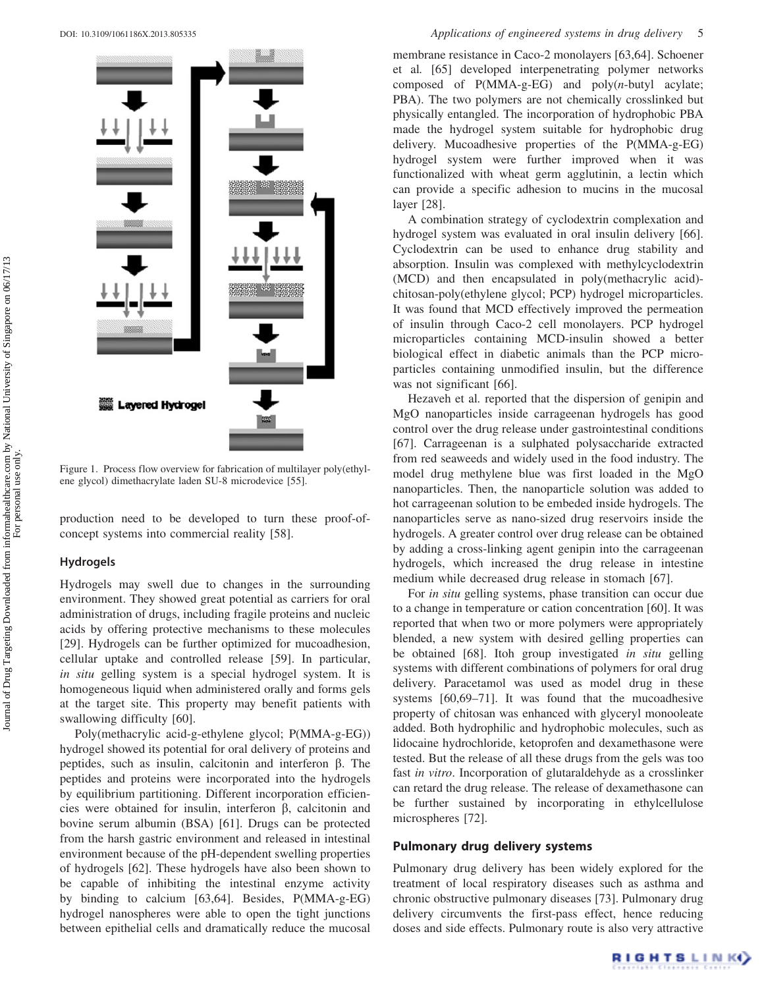

Figure 1. Process flow overview for fabrication of multilayer poly(ethylene glycol) dimethacrylate laden SU-8 microdevice [55].

production need to be developed to turn these proof-ofconcept systems into commercial reality [58].

### Hydrogels

Hydrogels may swell due to changes in the surrounding environment. They showed great potential as carriers for oral administration of drugs, including fragile proteins and nucleic acids by offering protective mechanisms to these molecules [29]. Hydrogels can be further optimized for mucoadhesion, cellular uptake and controlled release [59]. In particular, in situ gelling system is a special hydrogel system. It is homogeneous liquid when administered orally and forms gels at the target site. This property may benefit patients with swallowing difficulty [60].

Poly(methacrylic acid-g-ethylene glycol; P(MMA-g-EG)) hydrogel showed its potential for oral delivery of proteins and peptides, such as insulin, calcitonin and interferon  $\beta$ . The peptides and proteins were incorporated into the hydrogels by equilibrium partitioning. Different incorporation efficiencies were obtained for insulin, interferon  $\beta$ , calcitonin and bovine serum albumin (BSA) [61]. Drugs can be protected from the harsh gastric environment and released in intestinal environment because of the pH-dependent swelling properties of hydrogels [62]. These hydrogels have also been shown to be capable of inhibiting the intestinal enzyme activity by binding to calcium [63,64]. Besides, P(MMA-g-EG) hydrogel nanospheres were able to open the tight junctions between epithelial cells and dramatically reduce the mucosal

membrane resistance in Caco-2 monolayers [63,64]. Schoener et al. [65] developed interpenetrating polymer networks composed of  $P(MMA-g-EG)$  and  $poly(n-butyl)$  acylate; PBA). The two polymers are not chemically crosslinked but physically entangled. The incorporation of hydrophobic PBA made the hydrogel system suitable for hydrophobic drug delivery. Mucoadhesive properties of the P(MMA-g-EG) hydrogel system were further improved when it was functionalized with wheat germ agglutinin, a lectin which can provide a specific adhesion to mucins in the mucosal layer [28].

A combination strategy of cyclodextrin complexation and hydrogel system was evaluated in oral insulin delivery [66]. Cyclodextrin can be used to enhance drug stability and absorption. Insulin was complexed with methylcyclodextrin (MCD) and then encapsulated in poly(methacrylic acid) chitosan-poly(ethylene glycol; PCP) hydrogel microparticles. It was found that MCD effectively improved the permeation of insulin through Caco-2 cell monolayers. PCP hydrogel microparticles containing MCD-insulin showed a better biological effect in diabetic animals than the PCP microparticles containing unmodified insulin, but the difference was not significant [66].

Hezaveh et al. reported that the dispersion of genipin and MgO nanoparticles inside carrageenan hydrogels has good control over the drug release under gastrointestinal conditions [67]. Carrageenan is a sulphated polysaccharide extracted from red seaweeds and widely used in the food industry. The model drug methylene blue was first loaded in the MgO nanoparticles. Then, the nanoparticle solution was added to hot carrageenan solution to be embeded inside hydrogels. The nanoparticles serve as nano-sized drug reservoirs inside the hydrogels. A greater control over drug release can be obtained by adding a cross-linking agent genipin into the carrageenan hydrogels, which increased the drug release in intestine medium while decreased drug release in stomach [67].

For in situ gelling systems, phase transition can occur due to a change in temperature or cation concentration [60]. It was reported that when two or more polymers were appropriately blended, a new system with desired gelling properties can be obtained [68]. Itoh group investigated in situ gelling systems with different combinations of polymers for oral drug delivery. Paracetamol was used as model drug in these systems [60,69–71]. It was found that the mucoadhesive property of chitosan was enhanced with glyceryl monooleate added. Both hydrophilic and hydrophobic molecules, such as lidocaine hydrochloride, ketoprofen and dexamethasone were tested. But the release of all these drugs from the gels was too fast in vitro. Incorporation of glutaraldehyde as a crosslinker can retard the drug release. The release of dexamethasone can be further sustained by incorporating in ethylcellulose microspheres [72].

# Pulmonary drug delivery systems

Pulmonary drug delivery has been widely explored for the treatment of local respiratory diseases such as asthma and chronic obstructive pulmonary diseases [73]. Pulmonary drug delivery circumvents the first-pass effect, hence reducing doses and side effects. Pulmonary route is also very attractive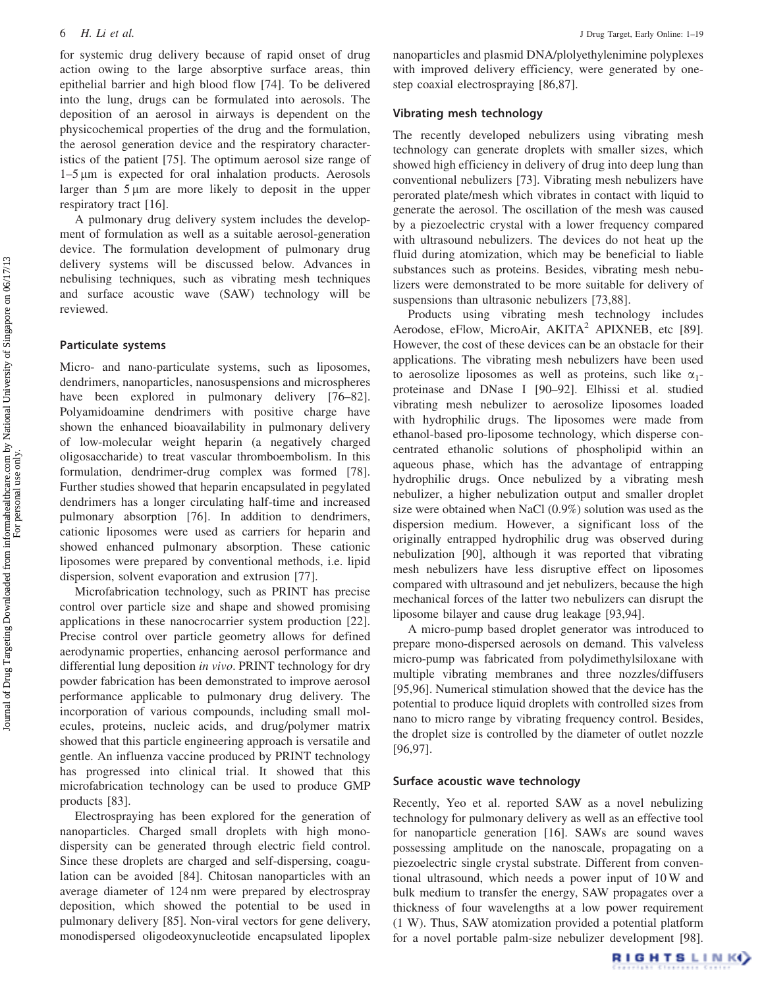for systemic drug delivery because of rapid onset of drug action owing to the large absorptive surface areas, thin epithelial barrier and high blood flow [74]. To be delivered into the lung, drugs can be formulated into aerosols. The deposition of an aerosol in airways is dependent on the physicochemical properties of the drug and the formulation, the aerosol generation device and the respiratory characteristics of the patient [75]. The optimum aerosol size range of  $1-5 \mu m$  is expected for oral inhalation products. Aerosols larger than  $5 \mu m$  are more likely to deposit in the upper respiratory tract [16].

A pulmonary drug delivery system includes the development of formulation as well as a suitable aerosol-generation device. The formulation development of pulmonary drug delivery systems will be discussed below. Advances in nebulising techniques, such as vibrating mesh techniques and surface acoustic wave (SAW) technology will be reviewed.

# Particulate systems

Micro- and nano-particulate systems, such as liposomes, dendrimers, nanoparticles, nanosuspensions and microspheres have been explored in pulmonary delivery [76–82]. Polyamidoamine dendrimers with positive charge have shown the enhanced bioavailability in pulmonary delivery of low-molecular weight heparin (a negatively charged oligosaccharide) to treat vascular thromboembolism. In this formulation, dendrimer-drug complex was formed [78]. Further studies showed that heparin encapsulated in pegylated dendrimers has a longer circulating half-time and increased pulmonary absorption [76]. In addition to dendrimers, cationic liposomes were used as carriers for heparin and showed enhanced pulmonary absorption. These cationic liposomes were prepared by conventional methods, i.e. lipid dispersion, solvent evaporation and extrusion [77].

Microfabrication technology, such as PRINT has precise control over particle size and shape and showed promising applications in these nanocrocarrier system production [22]. Precise control over particle geometry allows for defined aerodynamic properties, enhancing aerosol performance and differential lung deposition in vivo. PRINT technology for dry powder fabrication has been demonstrated to improve aerosol performance applicable to pulmonary drug delivery. The incorporation of various compounds, including small molecules, proteins, nucleic acids, and drug/polymer matrix showed that this particle engineering approach is versatile and gentle. An influenza vaccine produced by PRINT technology has progressed into clinical trial. It showed that this microfabrication technology can be used to produce GMP products [83].

Electrospraying has been explored for the generation of nanoparticles. Charged small droplets with high monodispersity can be generated through electric field control. Since these droplets are charged and self-dispersing, coagulation can be avoided [84]. Chitosan nanoparticles with an average diameter of 124 nm were prepared by electrospray deposition, which showed the potential to be used in pulmonary delivery [85]. Non-viral vectors for gene delivery, monodispersed oligodeoxynucleotide encapsulated lipoplex

nanoparticles and plasmid DNA/plolyethylenimine polyplexes with improved delivery efficiency, were generated by onestep coaxial electrospraying [86,87].

#### Vibrating mesh technology

The recently developed nebulizers using vibrating mesh technology can generate droplets with smaller sizes, which showed high efficiency in delivery of drug into deep lung than conventional nebulizers [73]. Vibrating mesh nebulizers have perorated plate/mesh which vibrates in contact with liquid to generate the aerosol. The oscillation of the mesh was caused by a piezoelectric crystal with a lower frequency compared with ultrasound nebulizers. The devices do not heat up the fluid during atomization, which may be beneficial to liable substances such as proteins. Besides, vibrating mesh nebulizers were demonstrated to be more suitable for delivery of suspensions than ultrasonic nebulizers [73,88].

Products using vibrating mesh technology includes Aerodose, eFlow, MicroAir, AKITA<sup>2</sup> APIXNEB, etc [89]. However, the cost of these devices can be an obstacle for their applications. The vibrating mesh nebulizers have been used to aerosolize liposomes as well as proteins, such like  $\alpha_1$ proteinase and DNase I [90–92]. Elhissi et al. studied vibrating mesh nebulizer to aerosolize liposomes loaded with hydrophilic drugs. The liposomes were made from ethanol-based pro-liposome technology, which disperse concentrated ethanolic solutions of phospholipid within an aqueous phase, which has the advantage of entrapping hydrophilic drugs. Once nebulized by a vibrating mesh nebulizer, a higher nebulization output and smaller droplet size were obtained when NaCl (0.9%) solution was used as the dispersion medium. However, a significant loss of the originally entrapped hydrophilic drug was observed during nebulization [90], although it was reported that vibrating mesh nebulizers have less disruptive effect on liposomes compared with ultrasound and jet nebulizers, because the high mechanical forces of the latter two nebulizers can disrupt the liposome bilayer and cause drug leakage [93,94].

A micro-pump based droplet generator was introduced to prepare mono-dispersed aerosols on demand. This valveless micro-pump was fabricated from polydimethylsiloxane with multiple vibrating membranes and three nozzles/diffusers [95,96]. Numerical stimulation showed that the device has the potential to produce liquid droplets with controlled sizes from nano to micro range by vibrating frequency control. Besides, the droplet size is controlled by the diameter of outlet nozzle [96,97].

# Surface acoustic wave technology

Recently, Yeo et al. reported SAW as a novel nebulizing technology for pulmonary delivery as well as an effective tool for nanoparticle generation [16]. SAWs are sound waves possessing amplitude on the nanoscale, propagating on a piezoelectric single crystal substrate. Different from conventional ultrasound, which needs a power input of 10 W and bulk medium to transfer the energy, SAW propagates over a thickness of four wavelengths at a low power requirement (1 W). Thus, SAW atomization provided a potential platform for a novel portable palm-size nebulizer development [98].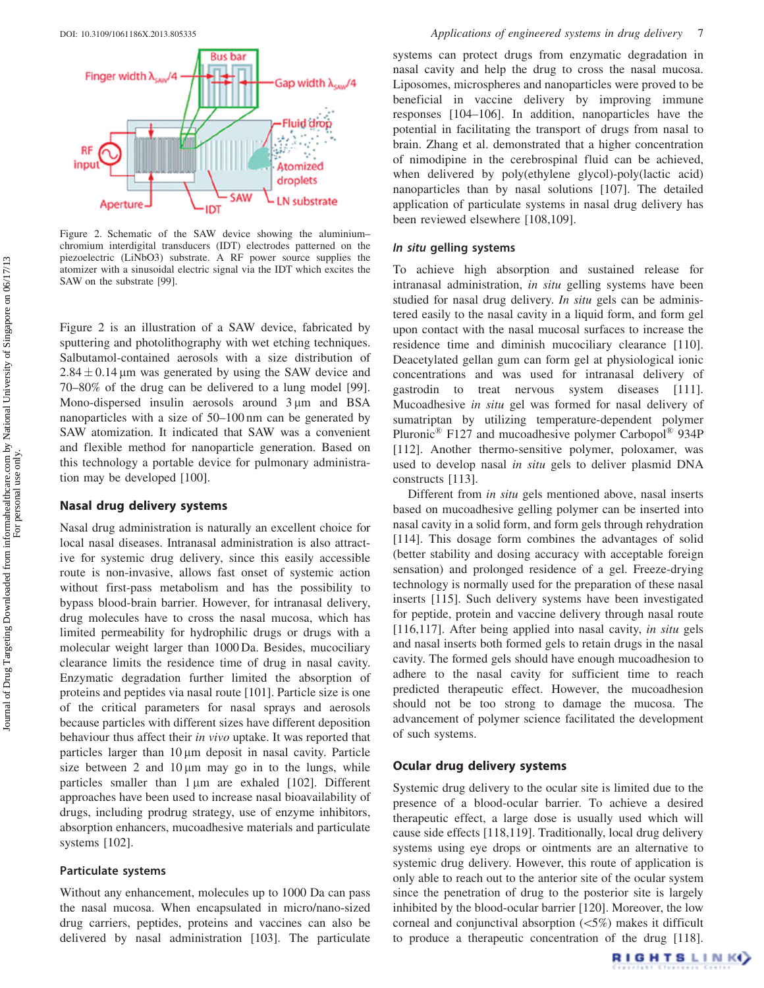

Figure 2. Schematic of the SAW device showing the aluminium– chromium interdigital transducers (IDT) electrodes patterned on the piezoelectric (LiNbO3) substrate. A RF power source supplies the atomizer with a sinusoidal electric signal via the IDT which excites the SAW on the substrate [99].

Figure 2 is an illustration of a SAW device, fabricated by sputtering and photolithography with wet etching techniques. Salbutamol-contained aerosols with a size distribution of  $2.84 \pm 0.14$  µm was generated by using the SAW device and 70–80% of the drug can be delivered to a lung model [99]. Mono-dispersed insulin aerosols around  $3 \mu m$  and BSA nanoparticles with a size of 50–100 nm can be generated by SAW atomization. It indicated that SAW was a convenient and flexible method for nanoparticle generation. Based on this technology a portable device for pulmonary administration may be developed [100].

## Nasal drug delivery systems

Nasal drug administration is naturally an excellent choice for local nasal diseases. Intranasal administration is also attractive for systemic drug delivery, since this easily accessible route is non-invasive, allows fast onset of systemic action without first-pass metabolism and has the possibility to bypass blood-brain barrier. However, for intranasal delivery, drug molecules have to cross the nasal mucosa, which has limited permeability for hydrophilic drugs or drugs with a molecular weight larger than 1000 Da. Besides, mucociliary clearance limits the residence time of drug in nasal cavity. Enzymatic degradation further limited the absorption of proteins and peptides via nasal route [101]. Particle size is one of the critical parameters for nasal sprays and aerosols because particles with different sizes have different deposition behaviour thus affect their *in vivo* uptake. It was reported that particles larger than  $10 \mu m$  deposit in nasal cavity. Particle size between 2 and  $10 \mu m$  may go in to the lungs, while particles smaller than  $1 \mu m$  are exhaled [102]. Different approaches have been used to increase nasal bioavailability of drugs, including prodrug strategy, use of enzyme inhibitors, absorption enhancers, mucoadhesive materials and particulate systems [102].

# Particulate systems

Without any enhancement, molecules up to 1000 Da can pass the nasal mucosa. When encapsulated in micro/nano-sized drug carriers, peptides, proteins and vaccines can also be delivered by nasal administration [103]. The particulate

systems can protect drugs from enzymatic degradation in nasal cavity and help the drug to cross the nasal mucosa. Liposomes, microspheres and nanoparticles were proved to be beneficial in vaccine delivery by improving immune responses [104–106]. In addition, nanoparticles have the potential in facilitating the transport of drugs from nasal to brain. Zhang et al. demonstrated that a higher concentration of nimodipine in the cerebrospinal fluid can be achieved, when delivered by poly(ethylene glycol)-poly(lactic acid) nanoparticles than by nasal solutions [107]. The detailed application of particulate systems in nasal drug delivery has been reviewed elsewhere [108,109].

# In situ gelling systems

To achieve high absorption and sustained release for intranasal administration, in situ gelling systems have been studied for nasal drug delivery. In situ gels can be administered easily to the nasal cavity in a liquid form, and form gel upon contact with the nasal mucosal surfaces to increase the residence time and diminish mucociliary clearance [110]. Deacetylated gellan gum can form gel at physiological ionic concentrations and was used for intranasal delivery of gastrodin to treat nervous system diseases [111]. Mucoadhesive in situ gel was formed for nasal delivery of sumatriptan by utilizing temperature-dependent polymer Pluronic<sup>®</sup> F127 and mucoadhesive polymer Carbopol<sup>®</sup> 934P [112]. Another thermo-sensitive polymer, poloxamer, was used to develop nasal in situ gels to deliver plasmid DNA constructs [113].

Different from in situ gels mentioned above, nasal inserts based on mucoadhesive gelling polymer can be inserted into nasal cavity in a solid form, and form gels through rehydration [114]. This dosage form combines the advantages of solid (better stability and dosing accuracy with acceptable foreign sensation) and prolonged residence of a gel. Freeze-drying technology is normally used for the preparation of these nasal inserts [115]. Such delivery systems have been investigated for peptide, protein and vaccine delivery through nasal route [116,117]. After being applied into nasal cavity, in situ gels and nasal inserts both formed gels to retain drugs in the nasal cavity. The formed gels should have enough mucoadhesion to adhere to the nasal cavity for sufficient time to reach predicted therapeutic effect. However, the mucoadhesion should not be too strong to damage the mucosa. The advancement of polymer science facilitated the development of such systems.

# Ocular drug delivery systems

Systemic drug delivery to the ocular site is limited due to the presence of a blood-ocular barrier. To achieve a desired therapeutic effect, a large dose is usually used which will cause side effects [118,119]. Traditionally, local drug delivery systems using eye drops or ointments are an alternative to systemic drug delivery. However, this route of application is only able to reach out to the anterior site of the ocular system since the penetration of drug to the posterior site is largely inhibited by the blood-ocular barrier [120]. Moreover, the low corneal and conjunctival absorption (55%) makes it difficult to produce a therapeutic concentration of the drug [118].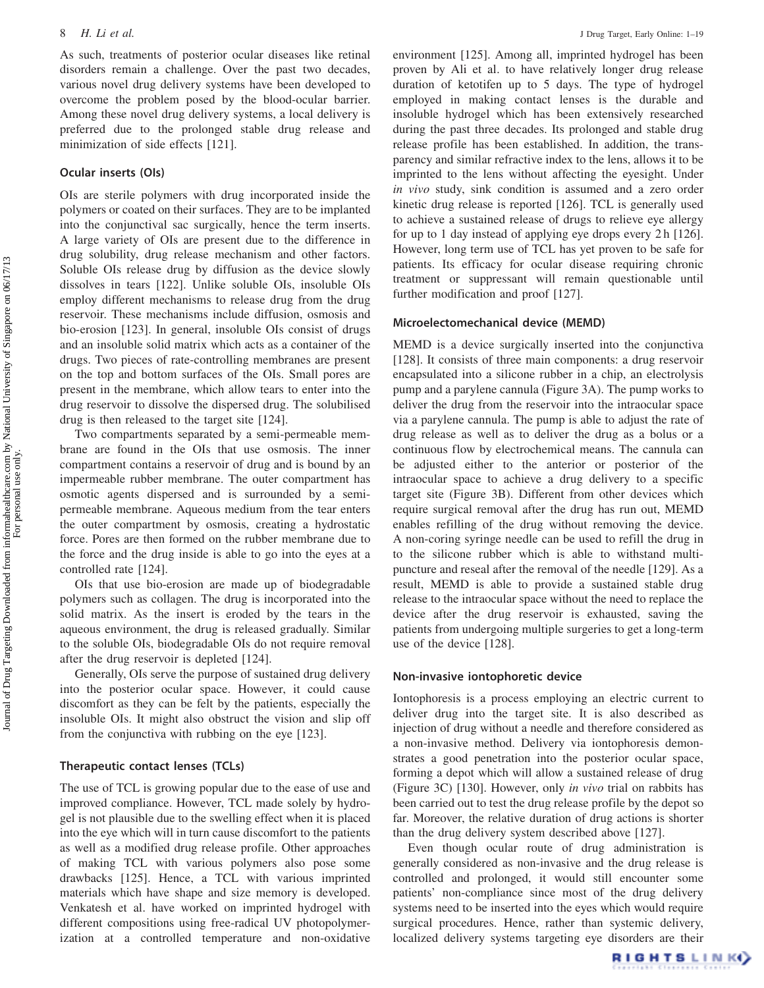As such, treatments of posterior ocular diseases like retinal disorders remain a challenge. Over the past two decades, various novel drug delivery systems have been developed to overcome the problem posed by the blood-ocular barrier. Among these novel drug delivery systems, a local delivery is preferred due to the prolonged stable drug release and minimization of side effects [121].

### Ocular inserts (OIs)

OIs are sterile polymers with drug incorporated inside the polymers or coated on their surfaces. They are to be implanted into the conjunctival sac surgically, hence the term inserts. A large variety of OIs are present due to the difference in drug solubility, drug release mechanism and other factors. Soluble OIs release drug by diffusion as the device slowly dissolves in tears [122]. Unlike soluble OIs, insoluble OIs employ different mechanisms to release drug from the drug reservoir. These mechanisms include diffusion, osmosis and bio-erosion [123]. In general, insoluble OIs consist of drugs and an insoluble solid matrix which acts as a container of the drugs. Two pieces of rate-controlling membranes are present on the top and bottom surfaces of the OIs. Small pores are present in the membrane, which allow tears to enter into the drug reservoir to dissolve the dispersed drug. The solubilised drug is then released to the target site [124].

Two compartments separated by a semi-permeable membrane are found in the OIs that use osmosis. The inner compartment contains a reservoir of drug and is bound by an impermeable rubber membrane. The outer compartment has osmotic agents dispersed and is surrounded by a semipermeable membrane. Aqueous medium from the tear enters the outer compartment by osmosis, creating a hydrostatic force. Pores are then formed on the rubber membrane due to the force and the drug inside is able to go into the eyes at a controlled rate [124].

OIs that use bio-erosion are made up of biodegradable polymers such as collagen. The drug is incorporated into the solid matrix. As the insert is eroded by the tears in the aqueous environment, the drug is released gradually. Similar to the soluble OIs, biodegradable OIs do not require removal after the drug reservoir is depleted [124].

Generally, OIs serve the purpose of sustained drug delivery into the posterior ocular space. However, it could cause discomfort as they can be felt by the patients, especially the insoluble OIs. It might also obstruct the vision and slip off from the conjunctiva with rubbing on the eye [123].

# Therapeutic contact lenses (TCLs)

The use of TCL is growing popular due to the ease of use and improved compliance. However, TCL made solely by hydrogel is not plausible due to the swelling effect when it is placed into the eye which will in turn cause discomfort to the patients as well as a modified drug release profile. Other approaches of making TCL with various polymers also pose some drawbacks [125]. Hence, a TCL with various imprinted materials which have shape and size memory is developed. Venkatesh et al. have worked on imprinted hydrogel with different compositions using free-radical UV photopolymerization at a controlled temperature and non-oxidative

environment [125]. Among all, imprinted hydrogel has been proven by Ali et al. to have relatively longer drug release duration of ketotifen up to 5 days. The type of hydrogel employed in making contact lenses is the durable and insoluble hydrogel which has been extensively researched during the past three decades. Its prolonged and stable drug release profile has been established. In addition, the transparency and similar refractive index to the lens, allows it to be imprinted to the lens without affecting the eyesight. Under in vivo study, sink condition is assumed and a zero order kinetic drug release is reported [126]. TCL is generally used to achieve a sustained release of drugs to relieve eye allergy for up to 1 day instead of applying eye drops every 2 h [126]. However, long term use of TCL has yet proven to be safe for patients. Its efficacy for ocular disease requiring chronic treatment or suppressant will remain questionable until further modification and proof [127].

#### Microelectomechanical device (MEMD)

MEMD is a device surgically inserted into the conjunctiva [128]. It consists of three main components: a drug reservoir encapsulated into a silicone rubber in a chip, an electrolysis pump and a parylene cannula (Figure 3A). The pump works to deliver the drug from the reservoir into the intraocular space via a parylene cannula. The pump is able to adjust the rate of drug release as well as to deliver the drug as a bolus or a continuous flow by electrochemical means. The cannula can be adjusted either to the anterior or posterior of the intraocular space to achieve a drug delivery to a specific target site (Figure 3B). Different from other devices which require surgical removal after the drug has run out, MEMD enables refilling of the drug without removing the device. A non-coring syringe needle can be used to refill the drug in to the silicone rubber which is able to withstand multipuncture and reseal after the removal of the needle [129]. As a result, MEMD is able to provide a sustained stable drug release to the intraocular space without the need to replace the device after the drug reservoir is exhausted, saving the patients from undergoing multiple surgeries to get a long-term use of the device [128].

#### Non-invasive iontophoretic device

Iontophoresis is a process employing an electric current to deliver drug into the target site. It is also described as injection of drug without a needle and therefore considered as a non-invasive method. Delivery via iontophoresis demonstrates a good penetration into the posterior ocular space, forming a depot which will allow a sustained release of drug (Figure 3C) [130]. However, only in vivo trial on rabbits has been carried out to test the drug release profile by the depot so far. Moreover, the relative duration of drug actions is shorter than the drug delivery system described above [127].

Even though ocular route of drug administration is generally considered as non-invasive and the drug release is controlled and prolonged, it would still encounter some patients' non-compliance since most of the drug delivery systems need to be inserted into the eyes which would require surgical procedures. Hence, rather than systemic delivery, localized delivery systems targeting eye disorders are their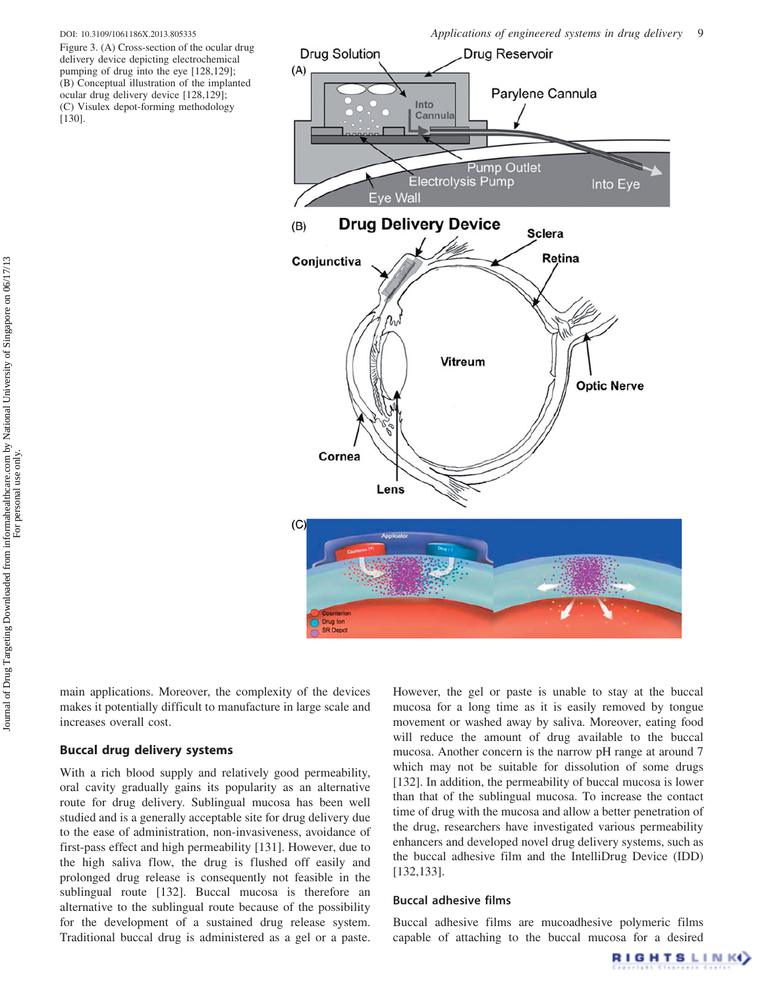Figure 3. (A) Cross-section of the ocular drug delivery device depicting electrochemical pumping of drug into the eye [128,129]; (B) Conceptual illustration of the implanted ocular drug delivery device [128,129]; (C) Visulex depot-forming methodology [130].



main applications. Moreover, the complexity of the devices makes it potentially difficult to manufacture in large scale and increases overall cost.

# Buccal drug delivery systems

With a rich blood supply and relatively good permeability, oral cavity gradually gains its popularity as an alternative route for drug delivery. Sublingual mucosa has been well studied and is a generally acceptable site for drug delivery due to the ease of administration, non-invasiveness, avoidance of first-pass effect and high permeability [131]. However, due to the high saliva flow, the drug is flushed off easily and prolonged drug release is consequently not feasible in the sublingual route [132]. Buccal mucosa is therefore an alternative to the sublingual route because of the possibility for the development of a sustained drug release system. Traditional buccal drug is administered as a gel or a paste.

However, the gel or paste is unable to stay at the buccal mucosa for a long time as it is easily removed by tongue movement or washed away by saliva. Moreover, eating food will reduce the amount of drug available to the buccal mucosa. Another concern is the narrow pH range at around 7 which may not be suitable for dissolution of some drugs [132]. In addition, the permeability of buccal mucosa is lower than that of the sublingual mucosa. To increase the contact time of drug with the mucosa and allow a better penetration of the drug, researchers have investigated various permeability enhancers and developed novel drug delivery systems, such as the buccal adhesive film and the IntelliDrug Device (IDD) [132,133].

# Buccal adhesive films

Buccal adhesive films are mucoadhesive polymeric films capable of attaching to the buccal mucosa for a desired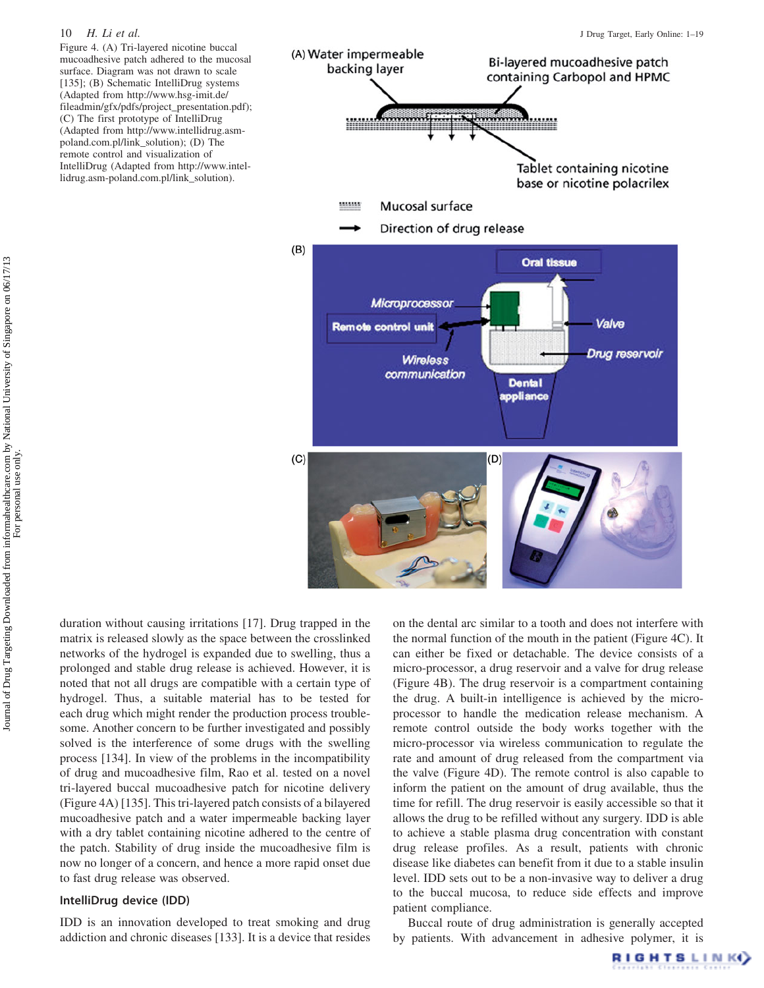Figure 4. (A) Tri-layered nicotine buccal mucoadhesive patch adhered to the mucosal surface. Diagram was not drawn to scale [135]; (B) Schematic IntelliDrug systems (Adapted from http://www.hsg-imit.de/ fileadmin/gfx/pdfs/project\_presentation.pdf); (C) The first prototype of IntelliDrug (Adapted from http://www.intellidrug.asmpoland.com.pl/link\_solution); (D) The remote control and visualization of IntelliDrug (Adapted from http://www.intellidrug.asm-poland.com.pl/link\_solution).



duration without causing irritations [17]. Drug trapped in the matrix is released slowly as the space between the crosslinked networks of the hydrogel is expanded due to swelling, thus a prolonged and stable drug release is achieved. However, it is noted that not all drugs are compatible with a certain type of hydrogel. Thus, a suitable material has to be tested for each drug which might render the production process troublesome. Another concern to be further investigated and possibly solved is the interference of some drugs with the swelling process [134]. In view of the problems in the incompatibility of drug and mucoadhesive film, Rao et al. tested on a novel tri-layered buccal mucoadhesive patch for nicotine delivery (Figure 4A) [135]. This tri-layered patch consists of a bilayered mucoadhesive patch and a water impermeable backing layer with a dry tablet containing nicotine adhered to the centre of the patch. Stability of drug inside the mucoadhesive film is now no longer of a concern, and hence a more rapid onset due to fast drug release was observed.

# IntelliDrug device (IDD)

IDD is an innovation developed to treat smoking and drug addiction and chronic diseases [133]. It is a device that resides on the dental arc similar to a tooth and does not interfere with the normal function of the mouth in the patient (Figure 4C). It can either be fixed or detachable. The device consists of a micro-processor, a drug reservoir and a valve for drug release (Figure 4B). The drug reservoir is a compartment containing the drug. A built-in intelligence is achieved by the microprocessor to handle the medication release mechanism. A remote control outside the body works together with the micro-processor via wireless communication to regulate the rate and amount of drug released from the compartment via the valve (Figure 4D). The remote control is also capable to inform the patient on the amount of drug available, thus the time for refill. The drug reservoir is easily accessible so that it allows the drug to be refilled without any surgery. IDD is able to achieve a stable plasma drug concentration with constant drug release profiles. As a result, patients with chronic disease like diabetes can benefit from it due to a stable insulin level. IDD sets out to be a non-invasive way to deliver a drug to the buccal mucosa, to reduce side effects and improve patient compliance.

Buccal route of drug administration is generally accepted by patients. With advancement in adhesive polymer, it is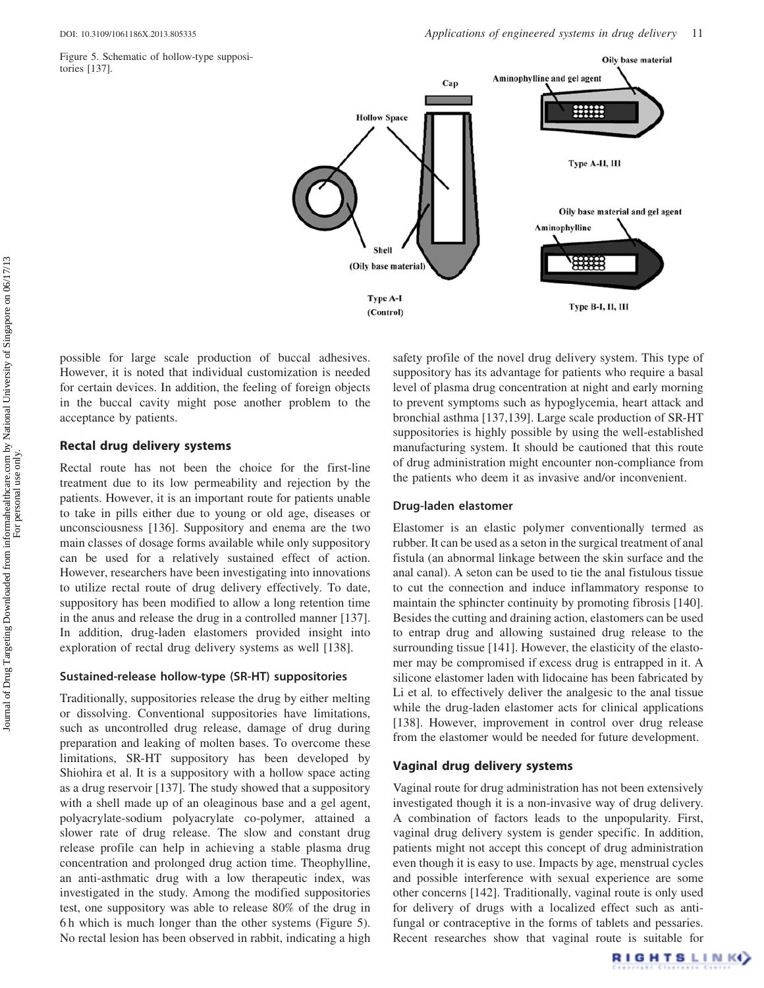Figure 5. Schematic of hollow-type suppositories [137].



possible for large scale production of buccal adhesives. However, it is noted that individual customization is needed for certain devices. In addition, the feeling of foreign objects in the buccal cavity might pose another problem to the acceptance by patients.

#### Rectal drug delivery systems

Rectal route has not been the choice for the first-line treatment due to its low permeability and rejection by the patients. However, it is an important route for patients unable to take in pills either due to young or old age, diseases or unconsciousness [136]. Suppository and enema are the two main classes of dosage forms available while only suppository can be used for a relatively sustained effect of action. However, researchers have been investigating into innovations to utilize rectal route of drug delivery effectively. To date, suppository has been modified to allow a long retention time in the anus and release the drug in a controlled manner [137]. In addition, drug-laden elastomers provided insight into exploration of rectal drug delivery systems as well [138].

#### Sustained-release hollow-type (SR-HT) suppositories

Traditionally, suppositories release the drug by either melting or dissolving. Conventional suppositories have limitations, such as uncontrolled drug release, damage of drug during preparation and leaking of molten bases. To overcome these limitations, SR-HT suppository has been developed by Shiohira et al. It is a suppository with a hollow space acting as a drug reservoir [137]. The study showed that a suppository with a shell made up of an oleaginous base and a gel agent, polyacrylate-sodium polyacrylate co-polymer, attained a slower rate of drug release. The slow and constant drug release profile can help in achieving a stable plasma drug concentration and prolonged drug action time. Theophylline, an anti-asthmatic drug with a low therapeutic index, was investigated in the study. Among the modified suppositories test, one suppository was able to release 80% of the drug in 6 h which is much longer than the other systems (Figure 5). No rectal lesion has been observed in rabbit, indicating a high

safety profile of the novel drug delivery system. This type of suppository has its advantage for patients who require a basal level of plasma drug concentration at night and early morning to prevent symptoms such as hypoglycemia, heart attack and bronchial asthma [137,139]. Large scale production of SR-HT suppositories is highly possible by using the well-established manufacturing system. It should be cautioned that this route of drug administration might encounter non-compliance from the patients who deem it as invasive and/or inconvenient.

#### Drug-laden elastomer

Elastomer is an elastic polymer conventionally termed as rubber. It can be used as a seton in the surgical treatment of anal fistula (an abnormal linkage between the skin surface and the anal canal). A seton can be used to tie the anal fistulous tissue to cut the connection and induce inflammatory response to maintain the sphincter continuity by promoting fibrosis [140]. Besides the cutting and draining action, elastomers can be used to entrap drug and allowing sustained drug release to the surrounding tissue [141]. However, the elasticity of the elastomer may be compromised if excess drug is entrapped in it. A silicone elastomer laden with lidocaine has been fabricated by Li et al. to effectively deliver the analgesic to the anal tissue while the drug-laden elastomer acts for clinical applications [138]. However, improvement in control over drug release from the elastomer would be needed for future development.

# Vaginal drug delivery systems

Vaginal route for drug administration has not been extensively investigated though it is a non-invasive way of drug delivery. A combination of factors leads to the unpopularity. First, vaginal drug delivery system is gender specific. In addition, patients might not accept this concept of drug administration even though it is easy to use. Impacts by age, menstrual cycles and possible interference with sexual experience are some other concerns [142]. Traditionally, vaginal route is only used for delivery of drugs with a localized effect such as antifungal or contraceptive in the forms of tablets and pessaries. Recent researches show that vaginal route is suitable for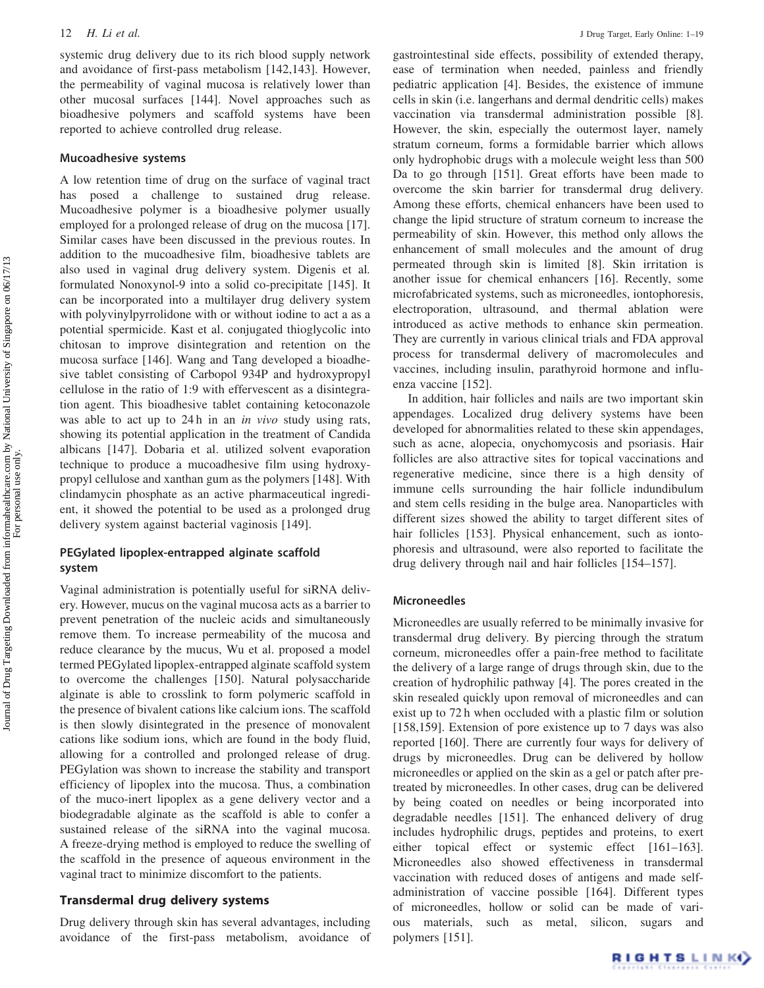systemic drug delivery due to its rich blood supply network and avoidance of first-pass metabolism [142,143]. However, the permeability of vaginal mucosa is relatively lower than other mucosal surfaces [144]. Novel approaches such as bioadhesive polymers and scaffold systems have been reported to achieve controlled drug release.

# Mucoadhesive systems

A low retention time of drug on the surface of vaginal tract has posed a challenge to sustained drug release. Mucoadhesive polymer is a bioadhesive polymer usually employed for a prolonged release of drug on the mucosa [17]. Similar cases have been discussed in the previous routes. In addition to the mucoadhesive film, bioadhesive tablets are also used in vaginal drug delivery system. Digenis et al. formulated Nonoxynol-9 into a solid co-precipitate [145]. It can be incorporated into a multilayer drug delivery system with polyvinylpyrrolidone with or without iodine to act a as a potential spermicide. Kast et al. conjugated thioglycolic into chitosan to improve disintegration and retention on the mucosa surface [146]. Wang and Tang developed a bioadhesive tablet consisting of Carbopol 934P and hydroxypropyl cellulose in the ratio of 1:9 with effervescent as a disintegration agent. This bioadhesive tablet containing ketoconazole was able to act up to 24h in an *in vivo* study using rats, showing its potential application in the treatment of Candida albicans [147]. Dobaria et al. utilized solvent evaporation technique to produce a mucoadhesive film using hydroxypropyl cellulose and xanthan gum as the polymers [148]. With clindamycin phosphate as an active pharmaceutical ingredient, it showed the potential to be used as a prolonged drug delivery system against bacterial vaginosis [149].

# PEGylated lipoplex-entrapped alginate scaffold system

Vaginal administration is potentially useful for siRNA delivery. However, mucus on the vaginal mucosa acts as a barrier to prevent penetration of the nucleic acids and simultaneously remove them. To increase permeability of the mucosa and reduce clearance by the mucus, Wu et al. proposed a model termed PEGylated lipoplex-entrapped alginate scaffold system to overcome the challenges [150]. Natural polysaccharide alginate is able to crosslink to form polymeric scaffold in the presence of bivalent cations like calcium ions. The scaffold is then slowly disintegrated in the presence of monovalent cations like sodium ions, which are found in the body fluid, allowing for a controlled and prolonged release of drug. PEGylation was shown to increase the stability and transport efficiency of lipoplex into the mucosa. Thus, a combination of the muco-inert lipoplex as a gene delivery vector and a biodegradable alginate as the scaffold is able to confer a sustained release of the siRNA into the vaginal mucosa. A freeze-drying method is employed to reduce the swelling of the scaffold in the presence of aqueous environment in the vaginal tract to minimize discomfort to the patients.

# Transdermal drug delivery systems

Drug delivery through skin has several advantages, including avoidance of the first-pass metabolism, avoidance of gastrointestinal side effects, possibility of extended therapy, ease of termination when needed, painless and friendly pediatric application [4]. Besides, the existence of immune cells in skin (i.e. langerhans and dermal dendritic cells) makes vaccination via transdermal administration possible [8]. However, the skin, especially the outermost layer, namely stratum corneum, forms a formidable barrier which allows only hydrophobic drugs with a molecule weight less than 500 Da to go through [151]. Great efforts have been made to overcome the skin barrier for transdermal drug delivery. Among these efforts, chemical enhancers have been used to change the lipid structure of stratum corneum to increase the permeability of skin. However, this method only allows the enhancement of small molecules and the amount of drug permeated through skin is limited [8]. Skin irritation is another issue for chemical enhancers [16]. Recently, some microfabricated systems, such as microneedles, iontophoresis, electroporation, ultrasound, and thermal ablation were introduced as active methods to enhance skin permeation. They are currently in various clinical trials and FDA approval process for transdermal delivery of macromolecules and vaccines, including insulin, parathyroid hormone and influenza vaccine [152].

In addition, hair follicles and nails are two important skin appendages. Localized drug delivery systems have been developed for abnormalities related to these skin appendages, such as acne, alopecia, onychomycosis and psoriasis. Hair follicles are also attractive sites for topical vaccinations and regenerative medicine, since there is a high density of immune cells surrounding the hair follicle indundibulum and stem cells residing in the bulge area. Nanoparticles with different sizes showed the ability to target different sites of hair follicles [153]. Physical enhancement, such as iontophoresis and ultrasound, were also reported to facilitate the drug delivery through nail and hair follicles [154–157].

# Microneedles

Microneedles are usually referred to be minimally invasive for transdermal drug delivery. By piercing through the stratum corneum, microneedles offer a pain-free method to facilitate the delivery of a large range of drugs through skin, due to the creation of hydrophilic pathway [4]. The pores created in the skin resealed quickly upon removal of microneedles and can exist up to 72 h when occluded with a plastic film or solution [158,159]. Extension of pore existence up to 7 days was also reported [160]. There are currently four ways for delivery of drugs by microneedles. Drug can be delivered by hollow microneedles or applied on the skin as a gel or patch after pretreated by microneedles. In other cases, drug can be delivered by being coated on needles or being incorporated into degradable needles [151]. The enhanced delivery of drug includes hydrophilic drugs, peptides and proteins, to exert either topical effect or systemic effect [161–163]. Microneedles also showed effectiveness in transdermal vaccination with reduced doses of antigens and made selfadministration of vaccine possible [164]. Different types of microneedles, hollow or solid can be made of various materials, such as metal, silicon, sugars and polymers [151].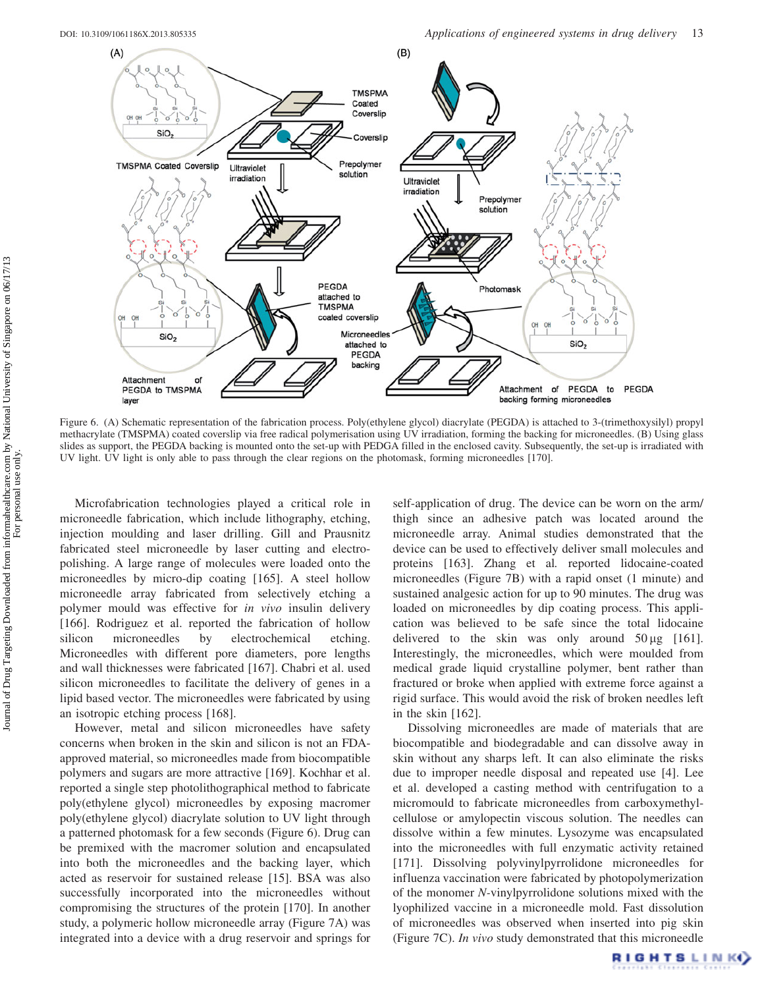

Figure 6. (A) Schematic representation of the fabrication process. Poly(ethylene glycol) diacrylate (PEGDA) is attached to 3-(trimethoxysilyl) propyl methacrylate (TMSPMA) coated coverslip via free radical polymerisation using UV irradiation, forming the backing for microneedles. (B) Using glass slides as support, the PEGDA backing is mounted onto the set-up with PEDGA filled in the enclosed cavity. Subsequently, the set-up is irradiated with UV light. UV light is only able to pass through the clear regions on the photomask, forming microneedles [170].

Microfabrication technologies played a critical role in microneedle fabrication, which include lithography, etching, injection moulding and laser drilling. Gill and Prausnitz fabricated steel microneedle by laser cutting and electropolishing. A large range of molecules were loaded onto the microneedles by micro-dip coating [165]. A steel hollow microneedle array fabricated from selectively etching a polymer mould was effective for in vivo insulin delivery [166]. Rodriguez et al. reported the fabrication of hollow silicon microneedles by electrochemical etching. Microneedles with different pore diameters, pore lengths and wall thicknesses were fabricated [167]. Chabri et al. used silicon microneedles to facilitate the delivery of genes in a lipid based vector. The microneedles were fabricated by using an isotropic etching process [168].

However, metal and silicon microneedles have safety concerns when broken in the skin and silicon is not an FDAapproved material, so microneedles made from biocompatible polymers and sugars are more attractive [169]. Kochhar et al. reported a single step photolithographical method to fabricate poly(ethylene glycol) microneedles by exposing macromer poly(ethylene glycol) diacrylate solution to UV light through a patterned photomask for a few seconds (Figure 6). Drug can be premixed with the macromer solution and encapsulated into both the microneedles and the backing layer, which acted as reservoir for sustained release [15]. BSA was also successfully incorporated into the microneedles without compromising the structures of the protein [170]. In another study, a polymeric hollow microneedle array (Figure 7A) was integrated into a device with a drug reservoir and springs for

self-application of drug. The device can be worn on the arm/ thigh since an adhesive patch was located around the microneedle array. Animal studies demonstrated that the device can be used to effectively deliver small molecules and proteins [163]. Zhang et al. reported lidocaine-coated microneedles (Figure 7B) with a rapid onset (1 minute) and sustained analgesic action for up to 90 minutes. The drug was loaded on microneedles by dip coating process. This application was believed to be safe since the total lidocaine delivered to the skin was only around  $50 \mu g$  [161]. Interestingly, the microneedles, which were moulded from medical grade liquid crystalline polymer, bent rather than fractured or broke when applied with extreme force against a rigid surface. This would avoid the risk of broken needles left in the skin [162].

Dissolving microneedles are made of materials that are biocompatible and biodegradable and can dissolve away in skin without any sharps left. It can also eliminate the risks due to improper needle disposal and repeated use [4]. Lee et al. developed a casting method with centrifugation to a micromould to fabricate microneedles from carboxymethylcellulose or amylopectin viscous solution. The needles can dissolve within a few minutes. Lysozyme was encapsulated into the microneedles with full enzymatic activity retained [171]. Dissolving polyvinylpyrrolidone microneedles for influenza vaccination were fabricated by photopolymerization of the monomer N-vinylpyrrolidone solutions mixed with the lyophilized vaccine in a microneedle mold. Fast dissolution of microneedles was observed when inserted into pig skin (Figure 7C). In vivo study demonstrated that this microneedle

RIGHTSLINK()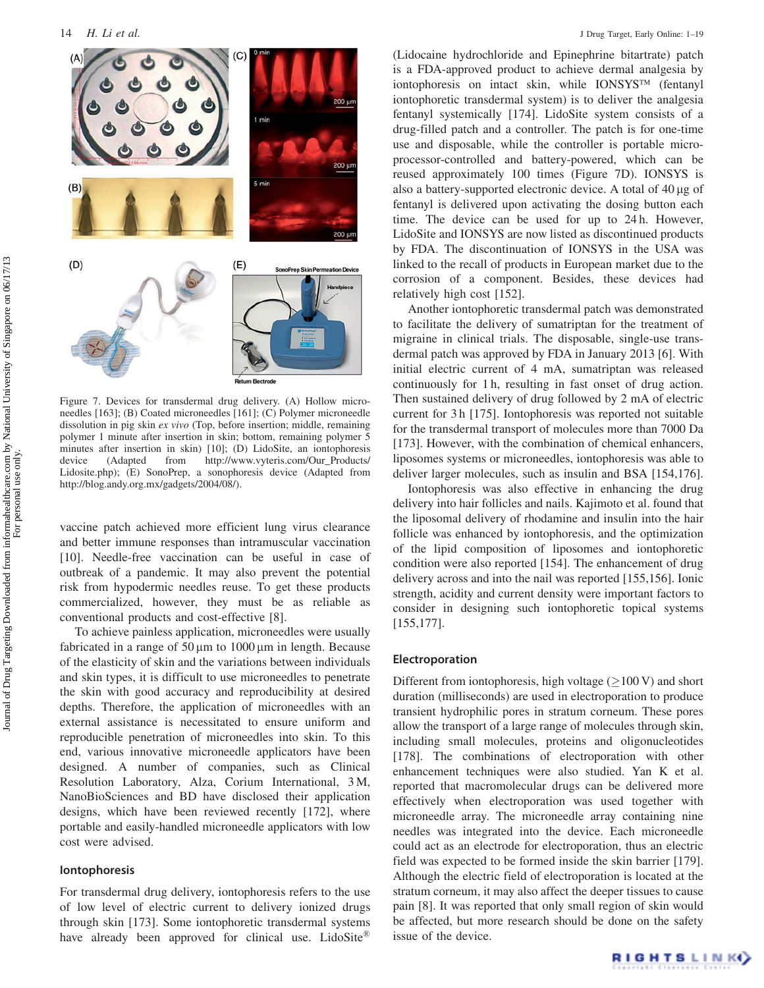

Figure 7. Devices for transdermal drug delivery. (A) Hollow microneedles [163]; (B) Coated microneedles [161]; (C) Polymer microneedle dissolution in pig skin ex vivo (Top, before insertion; middle, remaining polymer 1 minute after insertion in skin; bottom, remaining polymer 5 minutes after insertion in skin) [10]; (D) LidoSite, an iontophoresis device (Adapted from http://www.vyteris.com/Our\_Products/ Lidosite.php); (E) SonoPrep, a sonophoresis device (Adapted from http://blog.andy.org.mx/gadgets/2004/08/).

vaccine patch achieved more efficient lung virus clearance and better immune responses than intramuscular vaccination [10]. Needle-free vaccination can be useful in case of outbreak of a pandemic. It may also prevent the potential risk from hypodermic needles reuse. To get these products commercialized, however, they must be as reliable as conventional products and cost-effective [8].

To achieve painless application, microneedles were usually fabricated in a range of  $50 \mu m$  to  $1000 \mu m$  in length. Because of the elasticity of skin and the variations between individuals and skin types, it is difficult to use microneedles to penetrate the skin with good accuracy and reproducibility at desired depths. Therefore, the application of microneedles with an external assistance is necessitated to ensure uniform and reproducible penetration of microneedles into skin. To this end, various innovative microneedle applicators have been designed. A number of companies, such as Clinical Resolution Laboratory, Alza, Corium International, 3 M, NanoBioSciences and BD have disclosed their application designs, which have been reviewed recently [172], where portable and easily-handled microneedle applicators with low cost were advised.

#### Iontophoresis

For transdermal drug delivery, iontophoresis refers to the use of low level of electric current to delivery ionized drugs through skin [173]. Some iontophoretic transdermal systems have already been approved for clinical use. LidoSite®

(Lidocaine hydrochloride and Epinephrine bitartrate) patch is a FDA-approved product to achieve dermal analgesia by iontophoresis on intact skin, while IONSYS<sup>TM</sup> (fentanyl iontophoretic transdermal system) is to deliver the analgesia fentanyl systemically [174]. LidoSite system consists of a drug-filled patch and a controller. The patch is for one-time use and disposable, while the controller is portable microprocessor-controlled and battery-powered, which can be reused approximately 100 times (Figure 7D). IONSYS is also a battery-supported electronic device. A total of  $40 \mu$ g of fentanyl is delivered upon activating the dosing button each time. The device can be used for up to 24 h. However, LidoSite and IONSYS are now listed as discontinued products by FDA. The discontinuation of IONSYS in the USA was linked to the recall of products in European market due to the corrosion of a component. Besides, these devices had relatively high cost [152].

Another iontophoretic transdermal patch was demonstrated to facilitate the delivery of sumatriptan for the treatment of migraine in clinical trials. The disposable, single-use transdermal patch was approved by FDA in January 2013 [6]. With initial electric current of 4 mA, sumatriptan was released continuously for 1 h, resulting in fast onset of drug action. Then sustained delivery of drug followed by 2 mA of electric current for 3 h [175]. Iontophoresis was reported not suitable for the transdermal transport of molecules more than 7000 Da [173]. However, with the combination of chemical enhancers, liposomes systems or microneedles, iontophoresis was able to deliver larger molecules, such as insulin and BSA [154,176].

Iontophoresis was also effective in enhancing the drug delivery into hair follicles and nails. Kajimoto et al. found that the liposomal delivery of rhodamine and insulin into the hair follicle was enhanced by iontophoresis, and the optimization of the lipid composition of liposomes and iontophoretic condition were also reported [154]. The enhancement of drug delivery across and into the nail was reported [155,156]. Ionic strength, acidity and current density were important factors to consider in designing such iontophoretic topical systems [155,177].

#### Electroporation

Different from iontophoresis, high voltage  $(\geq 100 \text{ V})$  and short duration (milliseconds) are used in electroporation to produce transient hydrophilic pores in stratum corneum. These pores allow the transport of a large range of molecules through skin, including small molecules, proteins and oligonucleotides [178]. The combinations of electroporation with other enhancement techniques were also studied. Yan K et al. reported that macromolecular drugs can be delivered more effectively when electroporation was used together with microneedle array. The microneedle array containing nine needles was integrated into the device. Each microneedle could act as an electrode for electroporation, thus an electric field was expected to be formed inside the skin barrier [179]. Although the electric field of electroporation is located at the stratum corneum, it may also affect the deeper tissues to cause pain [8]. It was reported that only small region of skin would be affected, but more research should be done on the safety issue of the device.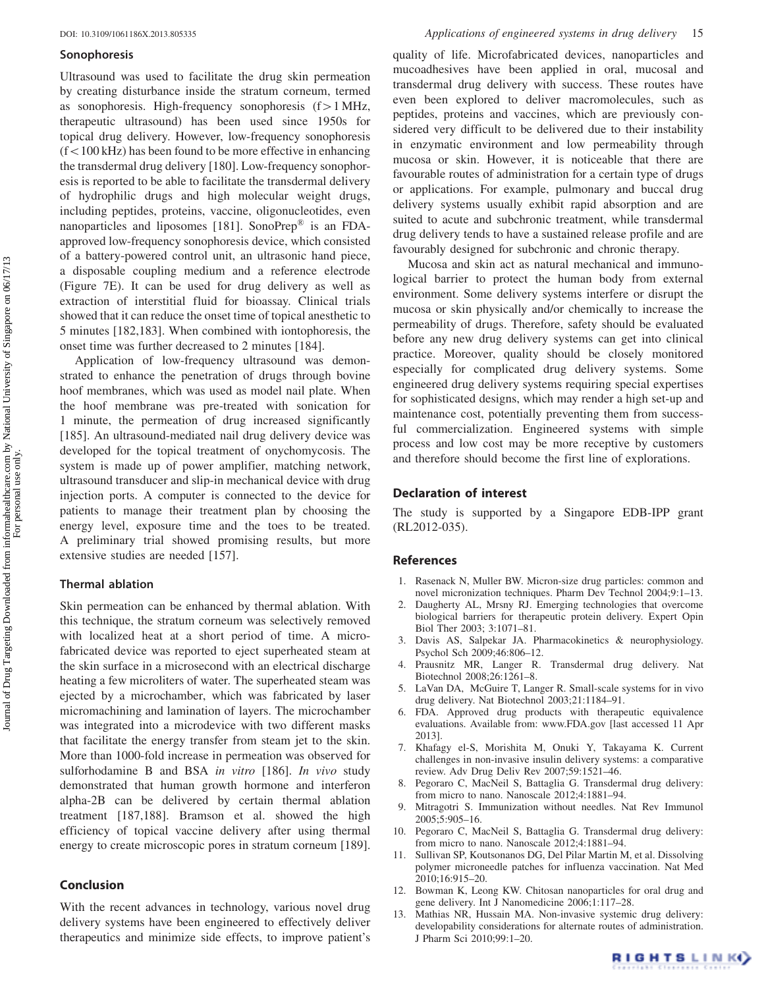#### Sonophoresis

Ultrasound was used to facilitate the drug skin permeation by creating disturbance inside the stratum corneum, termed as sonophoresis. High-frequency sonophoresis  $(f > 1$  MHz, therapeutic ultrasound) has been used since 1950s for topical drug delivery. However, low-frequency sonophoresis  $(f<100$  kHz) has been found to be more effective in enhancing the transdermal drug delivery [180]. Low-frequency sonophoresis is reported to be able to facilitate the transdermal delivery of hydrophilic drugs and high molecular weight drugs, including peptides, proteins, vaccine, oligonucleotides, even nanoparticles and liposomes [181]. SonoPrep® is an FDAapproved low-frequency sonophoresis device, which consisted of a battery-powered control unit, an ultrasonic hand piece, a disposable coupling medium and a reference electrode (Figure 7E). It can be used for drug delivery as well as extraction of interstitial fluid for bioassay. Clinical trials showed that it can reduce the onset time of topical anesthetic to 5 minutes [182,183]. When combined with iontophoresis, the onset time was further decreased to 2 minutes [184].

Application of low-frequency ultrasound was demonstrated to enhance the penetration of drugs through bovine hoof membranes, which was used as model nail plate. When the hoof membrane was pre-treated with sonication for 1 minute, the permeation of drug increased significantly [185]. An ultrasound-mediated nail drug delivery device was developed for the topical treatment of onychomycosis. The system is made up of power amplifier, matching network, ultrasound transducer and slip-in mechanical device with drug injection ports. A computer is connected to the device for patients to manage their treatment plan by choosing the energy level, exposure time and the toes to be treated. A preliminary trial showed promising results, but more extensive studies are needed [157].

#### Thermal ablation

Skin permeation can be enhanced by thermal ablation. With this technique, the stratum corneum was selectively removed with localized heat at a short period of time. A microfabricated device was reported to eject superheated steam at the skin surface in a microsecond with an electrical discharge heating a few microliters of water. The superheated steam was ejected by a microchamber, which was fabricated by laser micromachining and lamination of layers. The microchamber was integrated into a microdevice with two different masks that facilitate the energy transfer from steam jet to the skin. More than 1000-fold increase in permeation was observed for sulforhodamine B and BSA in vitro [186]. In vivo study demonstrated that human growth hormone and interferon alpha-2B can be delivered by certain thermal ablation treatment [187,188]. Bramson et al. showed the high efficiency of topical vaccine delivery after using thermal energy to create microscopic pores in stratum corneum [189].

#### Conclusion

With the recent advances in technology, various novel drug delivery systems have been engineered to effectively deliver therapeutics and minimize side effects, to improve patient's quality of life. Microfabricated devices, nanoparticles and mucoadhesives have been applied in oral, mucosal and transdermal drug delivery with success. These routes have even been explored to deliver macromolecules, such as peptides, proteins and vaccines, which are previously considered very difficult to be delivered due to their instability in enzymatic environment and low permeability through mucosa or skin. However, it is noticeable that there are favourable routes of administration for a certain type of drugs or applications. For example, pulmonary and buccal drug delivery systems usually exhibit rapid absorption and are suited to acute and subchronic treatment, while transdermal drug delivery tends to have a sustained release profile and are favourably designed for subchronic and chronic therapy.

Mucosa and skin act as natural mechanical and immunological barrier to protect the human body from external environment. Some delivery systems interfere or disrupt the mucosa or skin physically and/or chemically to increase the permeability of drugs. Therefore, safety should be evaluated before any new drug delivery systems can get into clinical practice. Moreover, quality should be closely monitored especially for complicated drug delivery systems. Some engineered drug delivery systems requiring special expertises for sophisticated designs, which may render a high set-up and maintenance cost, potentially preventing them from successful commercialization. Engineered systems with simple process and low cost may be more receptive by customers and therefore should become the first line of explorations.

# Declaration of interest

The study is supported by a Singapore EDB-IPP grant (RL2012-035).

# References

- 1. Rasenack N, Muller BW. Micron-size drug particles: common and novel micronization techniques. Pharm Dev Technol 2004;9:1–13.
- 2. Daugherty AL, Mrsny RJ. Emerging technologies that overcome biological barriers for therapeutic protein delivery. Expert Opin Biol Ther 2003; 3:1071–81.
- 3. Davis AS, Salpekar JA. Pharmacokinetics & neurophysiology. Psychol Sch 2009;46:806–12.
- 4. Prausnitz MR, Langer R. Transdermal drug delivery. Nat Biotechnol 2008;26:1261–8.
- 5. LaVan DA, McGuire T, Langer R. Small-scale systems for in vivo drug delivery. Nat Biotechnol 2003;21:1184–91.
- 6. FDA. Approved drug products with therapeutic equivalence evaluations. Available from: www.FDA.gov [last accessed 11 Apr 2013].
- 7. Khafagy el-S, Morishita M, Onuki Y, Takayama K. Current challenges in non-invasive insulin delivery systems: a comparative review. Adv Drug Deliv Rev 2007;59:1521–46.
- 8. Pegoraro C, MacNeil S, Battaglia G. Transdermal drug delivery: from micro to nano. Nanoscale 2012;4:1881–94.
- 9. Mitragotri S. Immunization without needles. Nat Rev Immunol 2005;5:905–16.
- 10. Pegoraro C, MacNeil S, Battaglia G. Transdermal drug delivery: from micro to nano. Nanoscale 2012;4:1881–94.
- 11. Sullivan SP, Koutsonanos DG, Del Pilar Martin M, et al. Dissolving polymer microneedle patches for influenza vaccination. Nat Med 2010;16:915–20.
- 12. Bowman K, Leong KW. Chitosan nanoparticles for oral drug and gene delivery. Int J Nanomedicine 2006;1:117–28.
- 13. Mathias NR, Hussain MA. Non-invasive systemic drug delivery: developability considerations for alternate routes of administration. J Pharm Sci 2010;99:1–20.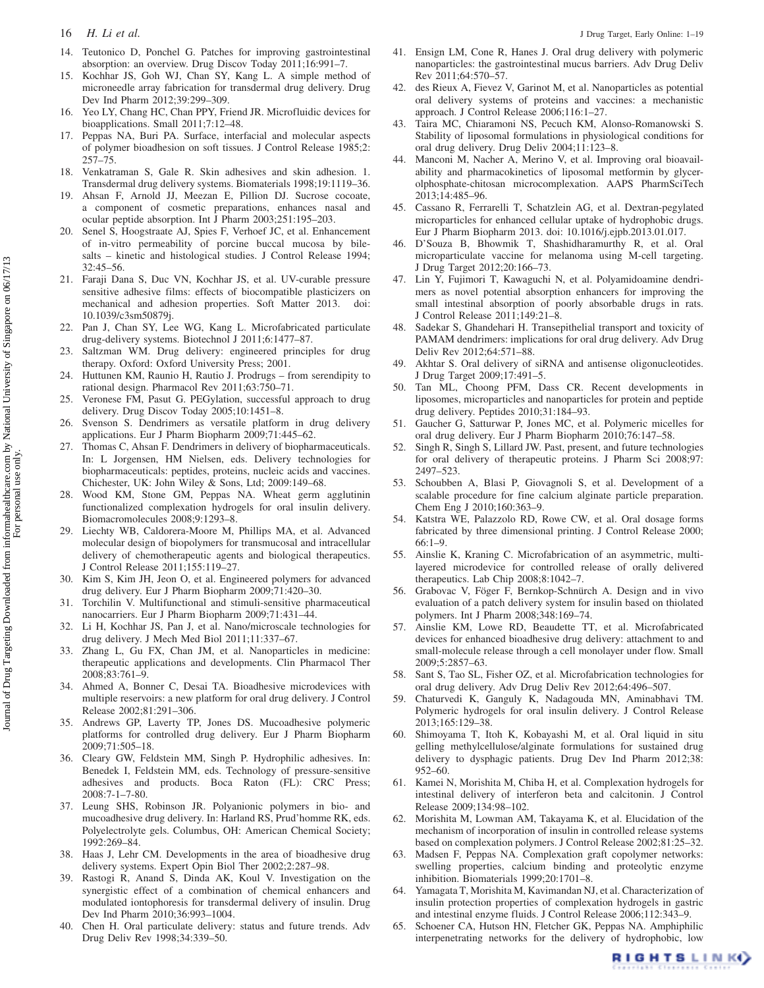- 
- 14. Teutonico D, Ponchel G. Patches for improving gastrointestinal absorption: an overview. Drug Discov Today 2011;16:991–7.
- 15. Kochhar JS, Goh WJ, Chan SY, Kang L. A simple method of microneedle array fabrication for transdermal drug delivery. Drug Dev Ind Pharm 2012;39:299–309.
- 16. Yeo LY, Chang HC, Chan PPY, Friend JR. Microfluidic devices for bioapplications. Small 2011;7:12–48.
- 17. Peppas NA, Buri PA. Surface, interfacial and molecular aspects of polymer bioadhesion on soft tissues. J Control Release 1985;2: 257–75.
- 18. Venkatraman S, Gale R. Skin adhesives and skin adhesion. 1. Transdermal drug delivery systems. Biomaterials 1998;19:1119–36.
- 19. Ahsan F, Arnold JJ, Meezan E, Pillion DJ. Sucrose cocoate, a component of cosmetic preparations, enhances nasal and ocular peptide absorption. Int J Pharm 2003;251:195–203.
- 20. Senel S, Hoogstraate AJ, Spies F, Verhoef JC, et al. Enhancement of in-vitro permeability of porcine buccal mucosa by bilesalts – kinetic and histological studies. J Control Release 1994; 32:45–56.
- 21. Faraji Dana S, Duc VN, Kochhar JS, et al. UV-curable pressure sensitive adhesive films: effects of biocompatible plasticizers on mechanical and adhesion properties. Soft Matter 2013. doi: 10.1039/c3sm50879j.
- 22. Pan J, Chan SY, Lee WG, Kang L. Microfabricated particulate drug-delivery systems. Biotechnol J 2011;6:1477–87.
- 23. Saltzman WM. Drug delivery: engineered principles for drug therapy. Oxford: Oxford University Press; 2001.
- 24. Huttunen KM, Raunio H, Rautio J. Prodrugs from serendipity to rational design. Pharmacol Rev 2011;63:750–71.
- 25. Veronese FM, Pasut G. PEGylation, successful approach to drug delivery. Drug Discov Today 2005;10:1451–8.
- 26. Svenson S. Dendrimers as versatile platform in drug delivery applications. Eur J Pharm Biopharm 2009;71:445–62.
- 27. Thomas C, Ahsan F. Dendrimers in delivery of biopharmaceuticals. In: L Jorgensen, HM Nielsen, eds. Delivery technologies for biopharmaceuticals: peptides, proteins, nucleic acids and vaccines. Chichester, UK: John Wiley & Sons, Ltd; 2009:149–68.
- 28. Wood KM, Stone GM, Peppas NA. Wheat germ agglutinin functionalized complexation hydrogels for oral insulin delivery. Biomacromolecules 2008;9:1293–8.
- 29. Liechty WB, Caldorera-Moore M, Phillips MA, et al. Advanced molecular design of biopolymers for transmucosal and intracellular delivery of chemotherapeutic agents and biological therapeutics. J Control Release 2011;155:119–27.
- 30. Kim S, Kim JH, Jeon O, et al. Engineered polymers for advanced drug delivery. Eur J Pharm Biopharm 2009;71:420–30.
- 31. Torchilin V. Multifunctional and stimuli-sensitive pharmaceutical nanocarriers. Eur J Pharm Biopharm 2009;71:431–44.
- 32. Li H, Kochhar JS, Pan J, et al. Nano/microscale technologies for drug delivery. J Mech Med Biol 2011;11:337–67.
- 33. Zhang L, Gu FX, Chan JM, et al. Nanoparticles in medicine: therapeutic applications and developments. Clin Pharmacol Ther 2008;83:761–9.
- 34. Ahmed A, Bonner C, Desai TA. Bioadhesive microdevices with multiple reservoirs: a new platform for oral drug delivery. J Control Release 2002;81:291–306.
- 35. Andrews GP, Laverty TP, Jones DS. Mucoadhesive polymeric platforms for controlled drug delivery. Eur J Pharm Biopharm 2009;71:505–18.
- 36. Cleary GW, Feldstein MM, Singh P. Hydrophilic adhesives. In: Benedek I, Feldstein MM, eds. Technology of pressure-sensitive adhesives and products. Boca Raton (FL): CRC Press; 2008:7-1–7-80.
- 37. Leung SHS, Robinson JR. Polyanionic polymers in bio- and mucoadhesive drug delivery. In: Harland RS, Prud'homme RK, eds. Polyelectrolyte gels. Columbus, OH: American Chemical Society; 1992:269–84.
- 38. Haas J, Lehr CM. Developments in the area of bioadhesive drug delivery systems. Expert Opin Biol Ther 2002;2:287–98.
- 39. Rastogi R, Anand S, Dinda AK, Koul V. Investigation on the synergistic effect of a combination of chemical enhancers and modulated iontophoresis for transdermal delivery of insulin. Drug Dev Ind Pharm 2010;36:993–1004.
- 40. Chen H. Oral particulate delivery: status and future trends. Adv Drug Deliv Rev 1998;34:339–50.
- 41. Ensign LM, Cone R, Hanes J. Oral drug delivery with polymeric nanoparticles: the gastrointestinal mucus barriers. Adv Drug Deliv Rev 2011;64:570–57.
- 42. des Rieux A, Fievez V, Garinot M, et al. Nanoparticles as potential oral delivery systems of proteins and vaccines: a mechanistic approach. J Control Release 2006;116:1–27.
- 43. Taira MC, Chiaramoni NS, Pecuch KM, Alonso-Romanowski S. Stability of liposomal formulations in physiological conditions for oral drug delivery. Drug Deliv 2004;11:123–8.
- 44. Manconi M, Nacher A, Merino V, et al. Improving oral bioavailability and pharmacokinetics of liposomal metformin by glycerolphosphate-chitosan microcomplexation. AAPS PharmSciTech 2013;14:485–96.
- 45. Cassano R, Ferrarelli T, Schatzlein AG, et al. Dextran-pegylated microparticles for enhanced cellular uptake of hydrophobic drugs. Eur J Pharm Biopharm 2013. doi: 10.1016/j.ejpb.2013.01.017.
- 46. D'Souza B, Bhowmik T, Shashidharamurthy R, et al. Oral microparticulate vaccine for melanoma using M-cell targeting. J Drug Target 2012;20:166–73.
- 47. Lin Y, Fujimori T, Kawaguchi N, et al. Polyamidoamine dendrimers as novel potential absorption enhancers for improving the small intestinal absorption of poorly absorbable drugs in rats. J Control Release 2011;149:21–8.
- 48. Sadekar S, Ghandehari H. Transepithelial transport and toxicity of PAMAM dendrimers: implications for oral drug delivery. Adv Drug Deliv Rev 2012;64:571–88.
- 49. Akhtar S. Oral delivery of siRNA and antisense oligonucleotides. J Drug Target 2009;17:491–5.
- 50. Tan ML, Choong PFM, Dass CR. Recent developments in liposomes, microparticles and nanoparticles for protein and peptide drug delivery. Peptides 2010;31:184–93.
- 51. Gaucher G, Satturwar P, Jones MC, et al. Polymeric micelles for oral drug delivery. Eur J Pharm Biopharm 2010;76:147–58.
- 52. Singh R, Singh S, Lillard JW. Past, present, and future technologies for oral delivery of therapeutic proteins. J Pharm Sci 2008;97: 2497–523.
- 53. Schoubben A, Blasi P, Giovagnoli S, et al. Development of a scalable procedure for fine calcium alginate particle preparation. Chem Eng J 2010;160:363–9.
- 54. Katstra WE, Palazzolo RD, Rowe CW, et al. Oral dosage forms fabricated by three dimensional printing. J Control Release 2000; 66:1–9.
- 55. Ainslie K, Kraning C. Microfabrication of an asymmetric, multilayered microdevice for controlled release of orally delivered therapeutics. Lab Chip 2008;8:1042–7.
- 56. Grabovac V, Föger F, Bernkop-Schnürch A. Design and in vivo evaluation of a patch delivery system for insulin based on thiolated polymers. Int J Pharm 2008;348:169–74.
- 57. Ainslie KM, Lowe RD, Beaudette TT, et al. Microfabricated devices for enhanced bioadhesive drug delivery: attachment to and small-molecule release through a cell monolayer under flow. Small 2009;5:2857–63.
- 58. Sant S, Tao SL, Fisher OZ, et al. Microfabrication technologies for oral drug delivery. Adv Drug Deliv Rev 2012;64:496–507.
- 59. Chaturvedi K, Ganguly K, Nadagouda MN, Aminabhavi TM. Polymeric hydrogels for oral insulin delivery. J Control Release 2013;165:129–38.
- 60. Shimoyama T, Itoh K, Kobayashi M, et al. Oral liquid in situ gelling methylcellulose/alginate formulations for sustained drug delivery to dysphagic patients. Drug Dev Ind Pharm 2012;38: 952–60.
- 61. Kamei N, Morishita M, Chiba H, et al. Complexation hydrogels for intestinal delivery of interferon beta and calcitonin. J Control Release 2009;134:98–102.
- 62. Morishita M, Lowman AM, Takayama K, et al. Elucidation of the mechanism of incorporation of insulin in controlled release systems based on complexation polymers. J Control Release 2002;81:25–32.
- 63. Madsen F, Peppas NA. Complexation graft copolymer networks: swelling properties, calcium binding and proteolytic enzyme inhibition. Biomaterials 1999;20:1701–8.
- 64. Yamagata T, Morishita M, Kavimandan NJ, et al. Characterization of insulin protection properties of complexation hydrogels in gastric and intestinal enzyme fluids. J Control Release 2006;112:343–9.
- 65. Schoener CA, Hutson HN, Fletcher GK, Peppas NA. Amphiphilic interpenetrating networks for the delivery of hydrophobic, low

RIGHTSLINK)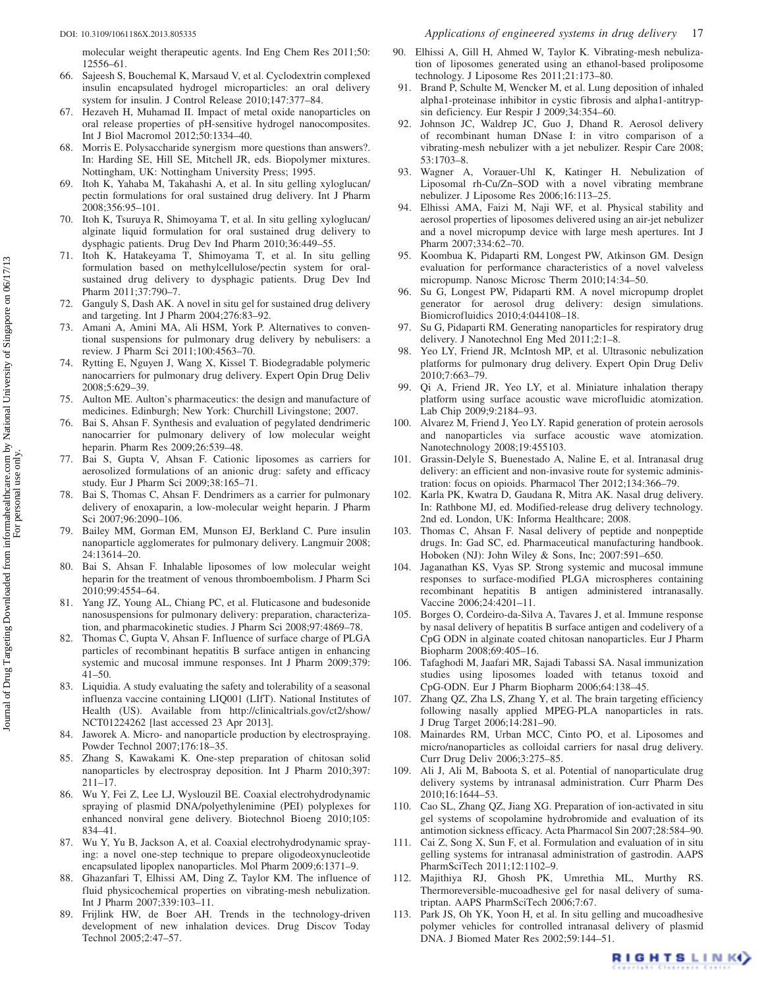molecular weight therapeutic agents. Ind Eng Chem Res 2011;50: 12556–61.

- 66. Sajeesh S, Bouchemal K, Marsaud V, et al. Cyclodextrin complexed insulin encapsulated hydrogel microparticles: an oral delivery system for insulin. J Control Release 2010;147:377–84.
- 67. Hezaveh H, Muhamad II. Impact of metal oxide nanoparticles on oral release properties of pH-sensitive hydrogel nanocomposites. Int J Biol Macromol 2012;50:1334–40.
- 68. Morris E. Polysaccharide synergism more questions than answers?. In: Harding SE, Hill SE, Mitchell JR, eds. Biopolymer mixtures. Nottingham, UK: Nottingham University Press; 1995.
- 69. Itoh K, Yahaba M, Takahashi A, et al. In situ gelling xyloglucan/ pectin formulations for oral sustained drug delivery. Int J Pharm 2008;356:95–101.
- 70. Itoh K, Tsuruya R, Shimoyama T, et al. In situ gelling xyloglucan/ alginate liquid formulation for oral sustained drug delivery to dysphagic patients. Drug Dev Ind Pharm 2010;36:449–55.
- 71. Itoh K, Hatakeyama T, Shimoyama T, et al. In situ gelling formulation based on methylcellulose/pectin system for oralsustained drug delivery to dysphagic patients. Drug Dev Ind Pharm 2011;37:790–7.
- 72. Ganguly S, Dash AK. A novel in situ gel for sustained drug delivery and targeting. Int J Pharm 2004;276:83–92.
- 73. Amani A, Amini MA, Ali HSM, York P. Alternatives to conventional suspensions for pulmonary drug delivery by nebulisers: a review. J Pharm Sci 2011;100:4563–70.
- 74. Rytting E, Nguyen J, Wang X, Kissel T. Biodegradable polymeric nanocarriers for pulmonary drug delivery. Expert Opin Drug Deliv 2008;5:629–39.
- 75. Aulton ME. Aulton's pharmaceutics: the design and manufacture of medicines. Edinburgh; New York: Churchill Livingstone; 2007.
- 76. Bai S, Ahsan F. Synthesis and evaluation of pegylated dendrimeric nanocarrier for pulmonary delivery of low molecular weight heparin. Pharm Res 2009;26:539–48.
- 77. Bai S, Gupta V, Ahsan F. Cationic liposomes as carriers for aerosolized formulations of an anionic drug: safety and efficacy study. Eur J Pharm Sci 2009;38:165–71.
- 78. Bai S, Thomas C, Ahsan F. Dendrimers as a carrier for pulmonary delivery of enoxaparin, a low-molecular weight heparin. J Pharm Sci 2007;96:2090–106.
- 79. Bailey MM, Gorman EM, Munson EJ, Berkland C. Pure insulin nanoparticle agglomerates for pulmonary delivery. Langmuir 2008; 24:13614–20.
- 80. Bai S, Ahsan F. Inhalable liposomes of low molecular weight heparin for the treatment of venous thromboembolism. J Pharm Sci 2010;99:4554–64.
- 81. Yang JZ, Young AL, Chiang PC, et al. Fluticasone and budesonide nanosuspensions for pulmonary delivery: preparation, characterization, and pharmacokinetic studies. J Pharm Sci 2008;97:4869–78.
- 82. Thomas C, Gupta V, Ahsan F. Influence of surface charge of PLGA particles of recombinant hepatitis B surface antigen in enhancing systemic and mucosal immune responses. Int J Pharm 2009;379: 41–50.
- 83. Liquidia. A study evaluating the safety and tolerability of a seasonal influenza vaccine containing LIQ001 (LIfT). National Institutes of Health (US). Available from http://clinicaltrials.gov/ct2/show/ NCT01224262 [last accessed 23 Apr 2013].
- 84. Jaworek A. Micro- and nanoparticle production by electrospraying. Powder Technol 2007;176:18–35.
- 85. Zhang S, Kawakami K. One-step preparation of chitosan solid nanoparticles by electrospray deposition. Int J Pharm 2010;397: 211–17.
- 86. Wu Y, Fei Z, Lee LJ, Wyslouzil BE. Coaxial electrohydrodynamic spraying of plasmid DNA/polyethylenimine (PEI) polyplexes for enhanced nonviral gene delivery. Biotechnol Bioeng 2010;105: 834–41.
- 87. Wu Y, Yu B, Jackson A, et al. Coaxial electrohydrodynamic spraying: a novel one-step technique to prepare oligodeoxynucleotide encapsulated lipoplex nanoparticles. Mol Pharm 2009;6:1371–9.
- 88. Ghazanfari T, Elhissi AM, Ding Z, Taylor KM. The influence of fluid physicochemical properties on vibrating-mesh nebulization. Int J Pharm 2007;339:103–11.
- 89. Frijlink HW, de Boer AH. Trends in the technology-driven development of new inhalation devices. Drug Discov Today Technol 2005;2:47–57.
- 90. Elhissi A, Gill H, Ahmed W, Taylor K. Vibrating-mesh nebulization of liposomes generated using an ethanol-based proliposome technology. J Liposome Res 2011;21:173–80.
- 91. Brand P, Schulte M, Wencker M, et al. Lung deposition of inhaled alpha1-proteinase inhibitor in cystic fibrosis and alpha1-antitrypsin deficiency. Eur Respir J 2009;34:354–60.
- 92. Johnson JC, Waldrep JC, Guo J, Dhand R. Aerosol delivery of recombinant human DNase I: in vitro comparison of a vibrating-mesh nebulizer with a jet nebulizer. Respir Care 2008; 53:1703–8.
- 93. Wagner A, Vorauer-Uhl K, Katinger H. Nebulization of Liposomal rh-Cu/Zn–SOD with a novel vibrating membrane nebulizer. J Liposome Res 2006;16:113–25.
- 94. Elhissi AMA, Faizi M, Naji WF, et al. Physical stability and aerosol properties of liposomes delivered using an air-jet nebulizer and a novel micropump device with large mesh apertures. Int J Pharm 2007;334:62–70.
- 95. Koombua K, Pidaparti RM, Longest PW, Atkinson GM. Design evaluation for performance characteristics of a novel valveless micropump. Nanosc Microsc Therm 2010;14:34–50.
- 96. Su G, Longest PW, Pidaparti RM. A novel micropump droplet generator for aerosol drug delivery: design simulations. Biomicrofluidics 2010;4:044108–18.
- 97. Su G, Pidaparti RM. Generating nanoparticles for respiratory drug delivery. J Nanotechnol Eng Med 2011;2:1–8.
- 98. Yeo LY, Friend JR, McIntosh MP, et al. Ultrasonic nebulization platforms for pulmonary drug delivery. Expert Opin Drug Deliv 2010;7:663–79.
- 99. Qi A, Friend JR, Yeo LY, et al. Miniature inhalation therapy platform using surface acoustic wave microfluidic atomization. Lab Chip 2009;9:2184–93.
- 100. Alvarez M, Friend J, Yeo LY. Rapid generation of protein aerosols and nanoparticles via surface acoustic wave atomization. Nanotechnology 2008;19:455103.
- 101. Grassin-Delyle S, Buenestado A, Naline E, et al. Intranasal drug delivery: an efficient and non-invasive route for systemic administration: focus on opioids. Pharmacol Ther 2012;134:366–79.
- 102. Karla PK, Kwatra D, Gaudana R, Mitra AK. Nasal drug delivery. In: Rathbone MJ, ed. Modified-release drug delivery technology. 2nd ed. London, UK: Informa Healthcare; 2008.
- 103. Thomas C, Ahsan F. Nasal delivery of peptide and nonpeptide drugs. In: Gad SC, ed. Pharmaceutical manufacturing handbook. Hoboken (NJ): John Wiley & Sons, Inc; 2007:591–650.
- 104. Jaganathan KS, Vyas SP. Strong systemic and mucosal immune responses to surface-modified PLGA microspheres containing recombinant hepatitis B antigen administered intranasally. Vaccine 2006;24:4201–11.
- 105. Borges O, Cordeiro-da-Silva A, Tavares J, et al. Immune response by nasal delivery of hepatitis B surface antigen and codelivery of a CpG ODN in alginate coated chitosan nanoparticles. Eur J Pharm Biopharm 2008;69:405–16.
- 106. Tafaghodi M, Jaafari MR, Sajadi Tabassi SA. Nasal immunization studies using liposomes loaded with tetanus toxoid and CpG-ODN. Eur J Pharm Biopharm 2006;64:138–45.
- 107. Zhang QZ, Zha LS, Zhang Y, et al. The brain targeting efficiency following nasally applied MPEG-PLA nanoparticles in rats. J Drug Target 2006;14:281–90.
- 108. Mainardes RM, Urban MCC, Cinto PO, et al. Liposomes and micro/nanoparticles as colloidal carriers for nasal drug delivery. Curr Drug Deliv 2006;3:275–85.
- 109. Ali J, Ali M, Baboota S, et al. Potential of nanoparticulate drug delivery systems by intranasal administration. Curr Pharm Des 2010;16:1644–53.
- 110. Cao SL, Zhang QZ, Jiang XG. Preparation of ion-activated in situ gel systems of scopolamine hydrobromide and evaluation of its antimotion sickness efficacy. Acta Pharmacol Sin 2007;28:584–90.
- 111. Cai Z, Song X, Sun F, et al. Formulation and evaluation of in situ gelling systems for intranasal administration of gastrodin. AAPS PharmSciTech 2011;12:1102–9.
- 112. Majithiya RJ, Ghosh PK, Umrethia ML, Murthy RS. Thermoreversible-mucoadhesive gel for nasal delivery of sumatriptan. AAPS PharmSciTech 2006;7:67.
- 113. Park JS, Oh YK, Yoon H, et al. In situ gelling and mucoadhesive polymer vehicles for controlled intranasal delivery of plasmid DNA. J Biomed Mater Res 2002;59:144–51.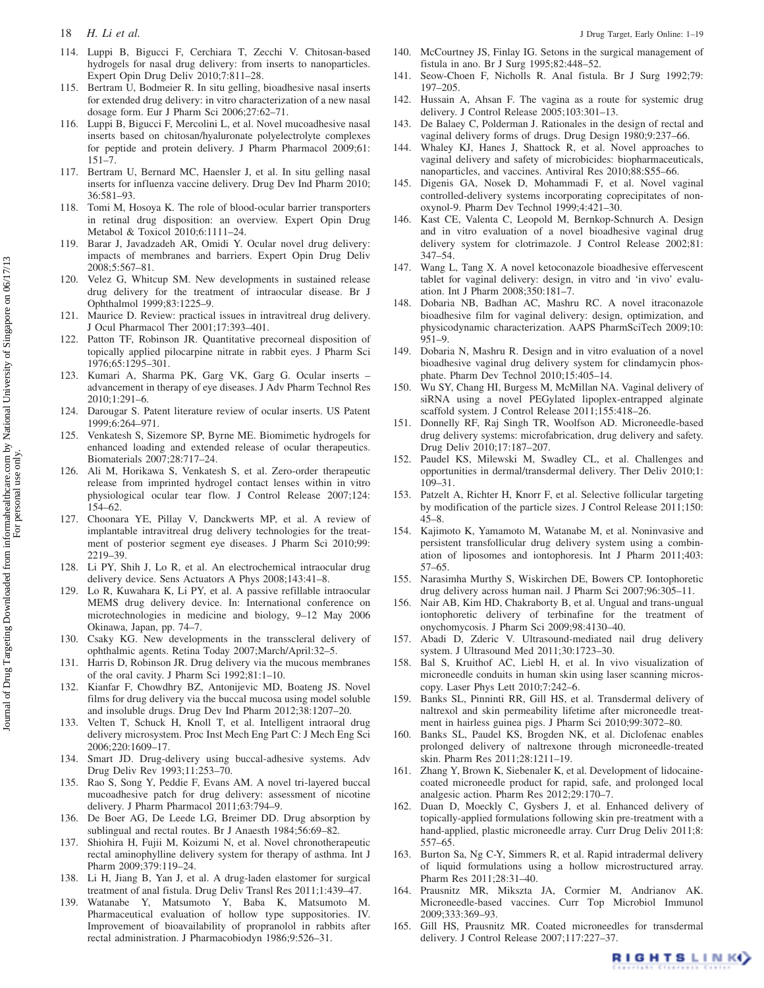- 114. Luppi B, Bigucci F, Cerchiara T, Zecchi V. Chitosan-based hydrogels for nasal drug delivery: from inserts to nanoparticles. Expert Opin Drug Deliv 2010;7:811–28.
- 115. Bertram U, Bodmeier R. In situ gelling, bioadhesive nasal inserts for extended drug delivery: in vitro characterization of a new nasal dosage form. Eur J Pharm Sci 2006;27:62–71.
- 116. Luppi B, Bigucci F, Mercolini L, et al. Novel mucoadhesive nasal inserts based on chitosan/hyaluronate polyelectrolyte complexes for peptide and protein delivery. J Pharm Pharmacol 2009;61: 151–7.
- 117. Bertram U, Bernard MC, Haensler J, et al. In situ gelling nasal inserts for influenza vaccine delivery. Drug Dev Ind Pharm 2010; 36:581–93.
- 118. Tomi M, Hosoya K. The role of blood-ocular barrier transporters in retinal drug disposition: an overview. Expert Opin Drug Metabol & Toxicol 2010;6:1111–24.
- 119. Barar J, Javadzadeh AR, Omidi Y. Ocular novel drug delivery: impacts of membranes and barriers. Expert Opin Drug Deliv 2008;5:567–81.
- 120. Velez G, Whitcup SM. New developments in sustained release drug delivery for the treatment of intraocular disease. Br J Ophthalmol 1999;83:1225–9.
- 121. Maurice D. Review: practical issues in intravitreal drug delivery. J Ocul Pharmacol Ther 2001;17:393–401.
- 122. Patton TF, Robinson JR. Quantitative precorneal disposition of topically applied pilocarpine nitrate in rabbit eyes. J Pharm Sci 1976;65:1295–301.
- 123. Kumari A, Sharma PK, Garg VK, Garg G. Ocular inserts advancement in therapy of eye diseases. J Adv Pharm Technol Res 2010;1:291–6.
- 124. Darougar S. Patent literature review of ocular inserts. US Patent 1999;6:264–971.
- 125. Venkatesh S, Sizemore SP, Byrne ME. Biomimetic hydrogels for enhanced loading and extended release of ocular therapeutics. Biomaterials 2007;28:717–24.
- 126. Ali M, Horikawa S, Venkatesh S, et al. Zero-order therapeutic release from imprinted hydrogel contact lenses within in vitro physiological ocular tear flow. J Control Release 2007;124: 154–62.
- 127. Choonara YE, Pillay V, Danckwerts MP, et al. A review of implantable intravitreal drug delivery technologies for the treatment of posterior segment eye diseases. J Pharm Sci 2010;99: 2219–39.
- 128. Li PY, Shih J, Lo R, et al. An electrochemical intraocular drug delivery device. Sens Actuators A Phys 2008;143:41–8.
- 129. Lo R, Kuwahara K, Li PY, et al. A passive refillable intraocular MEMS drug delivery device. In: International conference on microtechnologies in medicine and biology, 9–12 May 2006 Okinawa, Japan, pp. 74–7.
- 130. Csaky KG. New developments in the transscleral delivery of ophthalmic agents. Retina Today 2007;March/April:32–5.
- 131. Harris D, Robinson JR. Drug delivery via the mucous membranes of the oral cavity. J Pharm Sci 1992;81:1–10.
- 132. Kianfar F, Chowdhry BZ, Antonijevic MD, Boateng JS. Novel films for drug delivery via the buccal mucosa using model soluble and insoluble drugs. Drug Dev Ind Pharm 2012;38:1207–20.
- 133. Velten T, Schuck H, Knoll T, et al. Intelligent intraoral drug delivery microsystem. Proc Inst Mech Eng Part C: J Mech Eng Sci 2006;220:1609–17.
- 134. Smart JD. Drug-delivery using buccal-adhesive systems. Adv Drug Deliv Rev 1993;11:253–70.
- 135. Rao S, Song Y, Peddie F, Evans AM. A novel tri-layered buccal mucoadhesive patch for drug delivery: assessment of nicotine delivery. J Pharm Pharmacol 2011;63:794–9.
- 136. De Boer AG, De Leede LG, Breimer DD. Drug absorption by sublingual and rectal routes. Br J Anaesth 1984;56:69–82.
- 137. Shiohira H, Fujii M, Koizumi N, et al. Novel chronotherapeutic rectal aminophylline delivery system for therapy of asthma. Int J Pharm 2009;379:119–24.
- 138. Li H, Jiang B, Yan J, et al. A drug-laden elastomer for surgical treatment of anal fistula. Drug Deliv Transl Res 2011;1:439–47.
- 139. Watanabe Y, Matsumoto Y, Baba K, Matsumoto M. Pharmaceutical evaluation of hollow type suppositories. IV. Improvement of bioavailability of propranolol in rabbits after rectal administration. J Pharmacobiodyn 1986;9:526–31.
- 140. McCourtney JS, Finlay IG. Setons in the surgical management of fistula in ano. Br J Surg 1995;82:448–52.
- 141. Seow-Choen F, Nicholls R. Anal fistula. Br J Surg 1992;79: 197–205.
- 142. Hussain A, Ahsan F. The vagina as a route for systemic drug delivery. J Control Release 2005;103:301–13.
- 143. De Balaey C, Polderman J. Rationales in the design of rectal and vaginal delivery forms of drugs. Drug Design 1980;9:237–66.
- 144. Whaley KJ, Hanes J, Shattock R, et al. Novel approaches to vaginal delivery and safety of microbicides: biopharmaceuticals, nanoparticles, and vaccines. Antiviral Res 2010;88:S55–66.
- 145. Digenis GA, Nosek D, Mohammadi F, et al. Novel vaginal controlled-delivery systems incorporating coprecipitates of nonoxynol-9. Pharm Dev Technol 1999;4:421–30.
- 146. Kast CE, Valenta C, Leopold M, Bernkop-Schnurch A. Design and in vitro evaluation of a novel bioadhesive vaginal drug delivery system for clotrimazole. J Control Release 2002;81: 347–54.
- 147. Wang L, Tang X. A novel ketoconazole bioadhesive effervescent tablet for vaginal delivery: design, in vitro and 'in vivo' evaluation. Int J Pharm 2008;350:181–7.
- 148. Dobaria NB, Badhan AC, Mashru RC. A novel itraconazole bioadhesive film for vaginal delivery: design, optimization, and physicodynamic characterization. AAPS PharmSciTech 2009;10: 951–9.
- 149. Dobaria N, Mashru R. Design and in vitro evaluation of a novel bioadhesive vaginal drug delivery system for clindamycin phosphate. Pharm Dev Technol 2010;15:405–14.
- 150. Wu SY, Chang HI, Burgess M, McMillan NA. Vaginal delivery of siRNA using a novel PEGylated lipoplex-entrapped alginate scaffold system. J Control Release 2011;155:418–26.
- 151. Donnelly RF, Raj Singh TR, Woolfson AD. Microneedle-based drug delivery systems: microfabrication, drug delivery and safety. Drug Deliv 2010;17:187–207.
- 152. Paudel KS, Milewski M, Swadley CL, et al. Challenges and opportunities in dermal/transdermal delivery. Ther Deliv 2010;1: 109–31.
- 153. Patzelt A, Richter H, Knorr F, et al. Selective follicular targeting by modification of the particle sizes. J Control Release 2011;150: 45–8.
- 154. Kajimoto K, Yamamoto M, Watanabe M, et al. Noninvasive and persistent transfollicular drug delivery system using a combination of liposomes and iontophoresis. Int J Pharm 2011;403: 57–65.
- 155. Narasimha Murthy S, Wiskirchen DE, Bowers CP. Iontophoretic drug delivery across human nail. J Pharm Sci 2007;96:305–11.
- 156. Nair AB, Kim HD, Chakraborty B, et al. Ungual and trans-ungual iontophoretic delivery of terbinafine for the treatment of onychomycosis. J Pharm Sci 2009;98:4130–40.
- 157. Abadi D, Zderic V. Ultrasound-mediated nail drug delivery system. J Ultrasound Med 2011;30:1723–30.
- 158. Bal S, Kruithof AC, Liebl H, et al. In vivo visualization of microneedle conduits in human skin using laser scanning microscopy. Laser Phys Lett 2010;7:242–6.
- 159. Banks SL, Pinninti RR, Gill HS, et al. Transdermal delivery of naltrexol and skin permeability lifetime after microneedle treatment in hairless guinea pigs. J Pharm Sci 2010;99:3072–80.
- 160. Banks SL, Paudel KS, Brogden NK, et al. Diclofenac enables prolonged delivery of naltrexone through microneedle-treated skin. Pharm Res 2011;28:1211–19.
- 161. Zhang Y, Brown K, Siebenaler K, et al. Development of lidocainecoated microneedle product for rapid, safe, and prolonged local analgesic action. Pharm Res 2012;29:170–7.
- 162. Duan D, Moeckly C, Gysbers J, et al. Enhanced delivery of topically-applied formulations following skin pre-treatment with a hand-applied, plastic microneedle array. Curr Drug Deliv 2011;8: 557–65.
- 163. Burton Sa, Ng C-Y, Simmers R, et al. Rapid intradermal delivery of liquid formulations using a hollow microstructured array. Pharm Res 2011;28:31–40.
- 164. Prausnitz MR, Mikszta JA, Cormier M, Andrianov AK. Microneedle-based vaccines. Curr Top Microbiol Immunol 2009;333:369–93.
- 165. Gill HS, Prausnitz MR. Coated microneedles for transdermal delivery. J Control Release 2007;117:227–37.